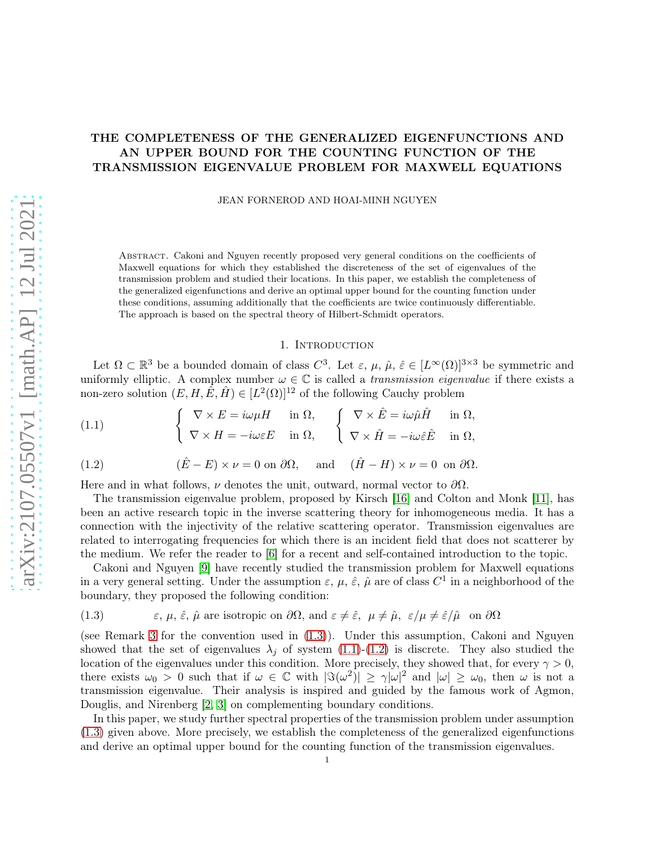# THE COMPLETENESS OF THE GENERALIZED EIGENFUNCTIONS AND AN UPPER BOUND FOR THE COUNTING FUNCTION OF THE TRANSMISSION EIGENVALUE PROBLEM FOR MAXWELL EQUATIONS

JEAN FORNEROD AND HOAI-MINH NGUYEN

Abstract. Cakoni and Nguyen recently proposed very general conditions on the coefficients of Maxwell equations for which they established the discreteness of the set of eigenvalues of the transmission problem and studied their locations. In this paper, we establish the completeness of the generalized eigenfunctions and derive an optimal upper bound for the counting function under these conditions, assuming additionally that the coefficients are twice continuously differentiable. The approach is based on the spectral theory of Hilbert-Schmidt operators.

### 1. INTRODUCTION

Let  $\Omega \subset \mathbb{R}^3$  be a bounded domain of class  $C^3$ . Let  $\varepsilon$ ,  $\mu$ ,  $\hat{\mu}$ ,  $\hat{\varepsilon} \in [L^{\infty}(\Omega)]^{3 \times 3}$  be symmetric and uniformly elliptic. A complex number  $\omega \in \mathbb{C}$  is called a *transmission eigenvalue* if there exists a non-zero solution  $(E, H, \hat{E}, \hat{H}) \in [L^2(\Omega)]^{12}$  of the following Cauchy problem

<span id="page-0-1"></span>(1.1) 
$$
\begin{cases} \nabla \times E = i\omega\mu H & \text{in } \Omega, \\ \nabla \times H = -i\omega\varepsilon E & \text{in } \Omega, \end{cases} \begin{cases} \nabla \times \hat{E} = i\omega\hat{\mu}\hat{H} & \text{in } \Omega, \\ \nabla \times \hat{H} = -i\omega\hat{\varepsilon}\hat{E} & \text{in } \Omega, \end{cases}
$$

<span id="page-0-2"></span>(1.2) 
$$
(\hat{E} - E) \times \nu = 0
$$
 on  $\partial \Omega$ , and  $(\hat{H} - H) \times \nu = 0$  on  $\partial \Omega$ .

Here and in what follows,  $\nu$  denotes the unit, outward, normal vector to  $\partial\Omega$ .

The transmission eigenvalue problem, proposed by Kirsch [\[16\]](#page-16-0) and Colton and Monk [\[11\]](#page-16-1), has been an active research topic in the inverse scattering theory for inhomogeneous media. It has a connection with the injectivity of the relative scattering operator. Transmission eigenvalues are related to interrogating frequencies for which there is an incident field that does not scatterer by the medium. We refer the reader to [\[6\]](#page-16-2) for a recent and self-contained introduction to the topic.

Cakoni and Nguyen [\[9\]](#page-16-3) have recently studied the transmission problem for Maxwell equations in a very general setting. Under the assumption  $\varepsilon$ ,  $\mu$ ,  $\hat{\varepsilon}$ ,  $\hat{\mu}$  are of class  $C^1$  in a neighborhood of the boundary, they proposed the following condition:

<span id="page-0-0"></span>(1.3) 
$$
\varepsilon, \mu, \hat{\varepsilon}, \hat{\mu}
$$
 are isotropic on  $\partial\Omega$ , and  $\varepsilon \neq \hat{\varepsilon}, \mu \neq \hat{\mu}, \varepsilon/\mu \neq \hat{\varepsilon}/\hat{\mu}$  on  $\partial\Omega$ 

(see Remark [3](#page-4-0) for the convention used in [\(1.3\)](#page-0-0)). Under this assumption, Cakoni and Nguyen showed that the set of eigenvalues  $\lambda_i$  of system [\(1.1\)](#page-0-1)-[\(1.2\)](#page-0-2) is discrete. They also studied the location of the eigenvalues under this condition. More precisely, they showed that, for every  $\gamma > 0$ , there exists  $\omega_0 > 0$  such that if  $\omega \in \mathbb{C}$  with  $|\Im(\omega^2)| \geq \gamma |\omega|^2$  and  $|\omega| \geq \omega_0$ , then  $\omega$  is not a transmission eigenvalue. Their analysis is inspired and guided by the famous work of Agmon, Douglis, and Nirenberg [\[2,](#page-15-0) [3\]](#page-16-4) on complementing boundary conditions.

In this paper, we study further spectral properties of the transmission problem under assumption [\(1.3\)](#page-0-0) given above. More precisely, we establish the completeness of the generalized eigenfunctions and derive an optimal upper bound for the counting function of the transmission eigenvalues.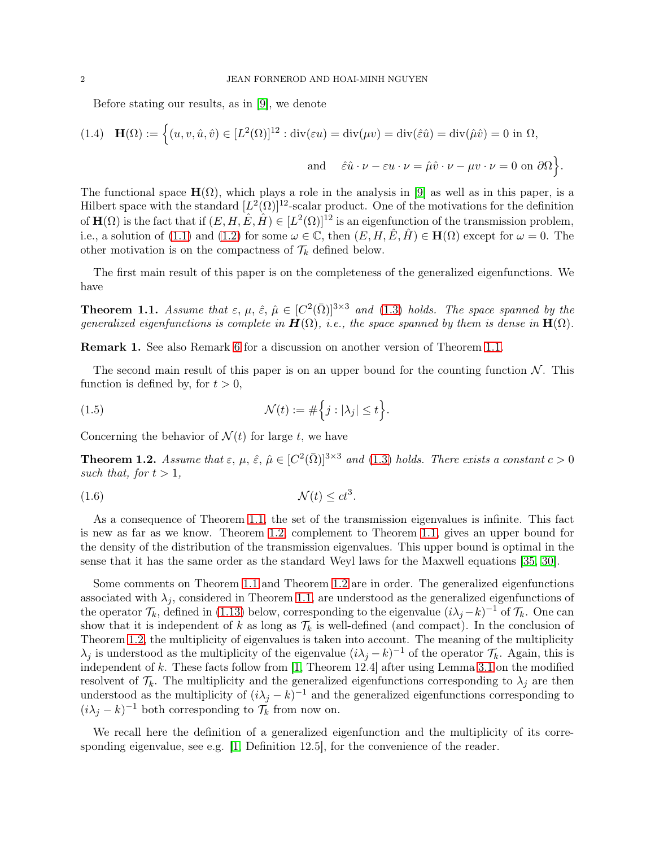Before stating our results, as in [\[9\]](#page-16-3), we denote

(1.4) 
$$
\mathbf{H}(\Omega) := \left\{ (u, v, \hat{u}, \hat{v}) \in [L^2(\Omega)]^{12} : \text{div}(\varepsilon u) = \text{div}(\mu v) = \text{div}(\hat{\varepsilon}\hat{u}) = \text{div}(\hat{\mu}\hat{v}) = 0 \text{ in } \Omega, \right\}
$$
  
and 
$$
\hat{\varepsilon}\hat{u} \cdot \nu - \varepsilon u \cdot \nu = \hat{\mu}\hat{v} \cdot \nu - \mu v \cdot \nu = 0 \text{ on } \partial\Omega \right\}.
$$

The functional space  $\mathbf{H}(\Omega)$ , which plays a role in the analysis in [\[9\]](#page-16-3) as well as in this paper, is a Hilbert space with the standard  $[L^2(\Omega)]^{12}$ -scalar product. One of the motivations for the definition of  $\mathbf{H}(\Omega)$  is the fact that if  $(E, H, \hat{E}, \hat{H}) \in [L^2(\Omega)]^{12}$  is an eigenfunction of the transmission problem, i.e., a solution of [\(1.1\)](#page-0-1) and [\(1.2\)](#page-0-2) for some  $\omega \in \mathbb{C}$ , then  $(E, H, \hat{E}, \hat{H}) \in \mathbf{H}(\Omega)$  except for  $\omega = 0$ . The other motivation is on the compactness of  $\mathcal{T}_k$  defined below.

<span id="page-1-0"></span>The first main result of this paper is on the completeness of the generalized eigenfunctions. We have

**Theorem 1.1.** Assume that  $\varepsilon$ ,  $\mu$ ,  $\hat{\varepsilon}$ ,  $\hat{\mu} \in [C^2(\bar{\Omega})]^{3 \times 3}$  and [\(1.3\)](#page-0-0) holds. The space spanned by the *generalized eigenfunctions is complete in*  $\mathbf{H}(\Omega)$ *, i.e., the space spanned by them is dense in*  $\mathbf{H}(\Omega)$ *.* 

Remark 1. See also Remark [6](#page-14-0) for a discussion on another version of Theorem [1.1.](#page-1-0)

The second main result of this paper is on an upper bound for the counting function  $N$ . This function is defined by, for  $t > 0$ ,

(1.5) 
$$
\mathcal{N}(t) := \#\Big\{j : |\lambda_j| \le t\Big\}.
$$

<span id="page-1-1"></span>Concerning the behavior of  $\mathcal{N}(t)$  for large t, we have

**Theorem 1.2.** *Assume that*  $\varepsilon$ ,  $\mu$ ,  $\hat{\varepsilon}$ ,  $\hat{\mu} \in [C^2(\bar{\Omega})]^{3 \times 3}$  and [\(1.3\)](#page-0-0) holds. There exists a constant  $c > 0$ such that, for  $t > 1$ ,

$$
\mathcal{N}(t) \le ct^3.
$$

As a consequence of Theorem [1.1,](#page-1-0) the set of the transmission eigenvalues is infinite. This fact is new as far as we know. Theorem [1.2,](#page-1-1) complement to Theorem [1.1,](#page-1-0) gives an upper bound for the density of the distribution of the transmission eigenvalues. This upper bound is optimal in the sense that it has the same order as the standard Weyl laws for the Maxwell equations [\[35,](#page-17-0) [30\]](#page-17-1).

Some comments on Theorem [1.1](#page-1-0) and Theorem [1.2](#page-1-1) are in order. The generalized eigenfunctions associated with  $\lambda_j$ , considered in Theorem [1.1,](#page-1-0) are understood as the generalized eigenfunctions of the operator  $\mathcal{T}_k$ , defined in [\(1.13\)](#page-3-0) below, corresponding to the eigenvalue  $(i\lambda_j - k)^{-1}$  of  $\mathcal{T}_k$ . One can show that it is independent of k as long as  $\mathcal{T}_k$  is well-defined (and compact). In the conclusion of Theorem [1.2,](#page-1-1) the multiplicity of eigenvalues is taken into account. The meaning of the multiplicity  $\lambda_j$  is understood as the multiplicity of the eigenvalue  $(i\lambda_j - k)^{-1}$  of the operator  $\mathcal{T}_k$ . Again, this is independent of k. These facts follow from [\[1,](#page-15-1) Theorem 12.4] after using Lemma [3.1](#page-9-0) on the modified resolvent of  $\mathcal{T}_k$ . The multiplicity and the generalized eigenfunctions corresponding to  $\lambda_j$  are then understood as the multiplicity of  $(i\lambda_j - k)^{-1}$  and the generalized eigenfunctions corresponding to  $(i\lambda_j - k)^{-1}$  both corresponding to  $\mathcal{T}_k$  from now on.

We recall here the definition of a generalized eigenfunction and the multiplicity of its corresponding eigenvalue, see e.g. [\[1,](#page-15-1) Definition 12.5], for the convenience of the reader.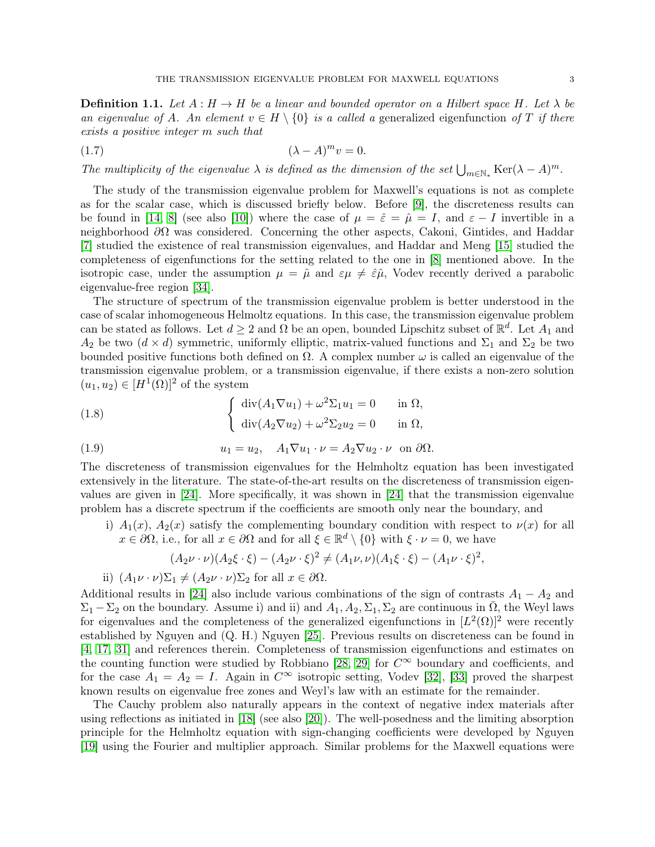**Definition 1.1.** Let  $A : H \to H$  be a linear and bounded operator on a Hilbert space H. Let  $\lambda$  be *an eigenvalue of A. An element*  $v \in H \setminus \{0\}$  *is a called a* generalized eigenfunction of T *if there exists a positive integer* m *such that*

$$
(1.7) \qquad (\lambda - A)^m v = 0.
$$

*The multiplicity of the eigenvalue*  $\lambda$  *is defined as the dimension of the set*  $\bigcup_{m\in\mathbb{N}_*}$  Ker( $\lambda - A$ )<sup>*m*</sup>.

The study of the transmission eigenvalue problem for Maxwell's equations is not as complete as for the scalar case, which is discussed briefly below. Before [\[9\]](#page-16-3), the discreteness results can be found in [\[14,](#page-16-5) [8\]](#page-16-6) (see also [\[10\]](#page-16-7)) where the case of  $\mu = \hat{\varepsilon} = \hat{\mu} = I$ , and  $\varepsilon - I$  invertible in a neighborhood  $\partial\Omega$  was considered. Concerning the other aspects, Cakoni, Gintides, and Haddar [\[7\]](#page-16-8) studied the existence of real transmission eigenvalues, and Haddar and Meng [\[15\]](#page-16-9) studied the completeness of eigenfunctions for the setting related to the one in [\[8\]](#page-16-6) mentioned above. In the isotropic case, under the assumption  $\mu = \hat{\mu}$  and  $\varepsilon \mu \neq \hat{\varepsilon} \hat{\mu}$ , Vodev recently derived a parabolic eigenvalue-free region [\[34\]](#page-17-2).

The structure of spectrum of the transmission eigenvalue problem is better understood in the case of scalar inhomogeneous Helmoltz equations. In this case, the transmission eigenvalue problem can be stated as follows. Let  $d \geq 2$  and  $\Omega$  be an open, bounded Lipschitz subset of  $\mathbb{R}^d$ . Let  $A_1$  and  $A_2$  be two  $(d \times d)$  symmetric, uniformly elliptic, matrix-valued functions and  $\Sigma_1$  and  $\Sigma_2$  be two bounded positive functions both defined on  $\Omega$ . A complex number  $\omega$  is called an eigenvalue of the transmission eigenvalue problem, or a transmission eigenvalue, if there exists a non-zero solution  $(u_1, u_2) \in [H^1(\Omega)]^2$  of the system

(1.8) 
$$
\begin{cases} \operatorname{div}(A_1 \nabla u_1) + \omega^2 \Sigma_1 u_1 = 0 & \text{in } \Omega, \\ \operatorname{div}(A_2 \nabla u_2) + \omega^2 \Sigma_2 u_2 = 0 & \text{in } \Omega, \end{cases}
$$

(1.9) 
$$
u_1 = u_2, \quad A_1 \nabla u_1 \cdot \nu = A_2 \nabla u_2 \cdot \nu \quad \text{on } \partial \Omega.
$$

The discreteness of transmission eigenvalues for the Helmholtz equation has been investigated extensively in the literature. The state-of-the-art results on the discreteness of transmission eigenvalues are given in [\[24\]](#page-16-10). More specifically, it was shown in [\[24\]](#page-16-10) that the transmission eigenvalue problem has a discrete spectrum if the coefficients are smooth only near the boundary, and

i)  $A_1(x)$ ,  $A_2(x)$  satisfy the complementing boundary condition with respect to  $\nu(x)$  for all  $x \in \partial\Omega$ , i.e., for all  $x \in \partial\Omega$  and for all  $\xi \in \mathbb{R}^d \setminus \{0\}$  with  $\xi \cdot \nu = 0$ , we have

$$
(A_2 \nu \cdot \nu)(A_2 \xi \cdot \xi) - (A_2 \nu \cdot \xi)^2 \neq (A_1 \nu, \nu)(A_1 \xi \cdot \xi) - (A_1 \nu \cdot \xi)^2,
$$

ii)  $(A_1\nu \cdot \nu)\Sigma_1 \neq (A_2\nu \cdot \nu)\Sigma_2$  for all  $x \in \partial \Omega$ .

Additional results in [\[24\]](#page-16-10) also include various combinations of the sign of contrasts  $A_1 - A_2$  and  $\Sigma_1 - \Sigma_2$  on the boundary. Assume i) and ii) and  $A_1, A_2, \Sigma_1, \Sigma_2$  are continuous in  $\overline{\Omega}$ , the Weyl laws for eigenvalues and the completeness of the generalized eigenfunctions in  $[L^2(\Omega)]^2$  were recently established by Nguyen and (Q. H.) Nguyen [\[25\]](#page-16-11). Previous results on discreteness can be found in [\[4,](#page-16-12) [17,](#page-16-13) [31\]](#page-17-3) and references therein. Completeness of transmission eigenfunctions and estimates on the counting function were studied by Robbiano [\[28,](#page-17-4) [29\]](#page-17-5) for  $C^{\infty}$  boundary and coefficients, and for the case  $A_1 = A_2 = I$ . Again in  $C^{\infty}$  isotropic setting, Vodev [\[32\]](#page-17-6), [\[33\]](#page-17-7) proved the sharpest known results on eigenvalue free zones and Weyl's law with an estimate for the remainder.

The Cauchy problem also naturally appears in the context of negative index materials after using reflections as initiated in [\[18\]](#page-16-14) (see also [\[20\]](#page-16-15)). The well-posedness and the limiting absorption principle for the Helmholtz equation with sign-changing coefficients were developed by Nguyen [\[19\]](#page-16-16) using the Fourier and multiplier approach. Similar problems for the Maxwell equations were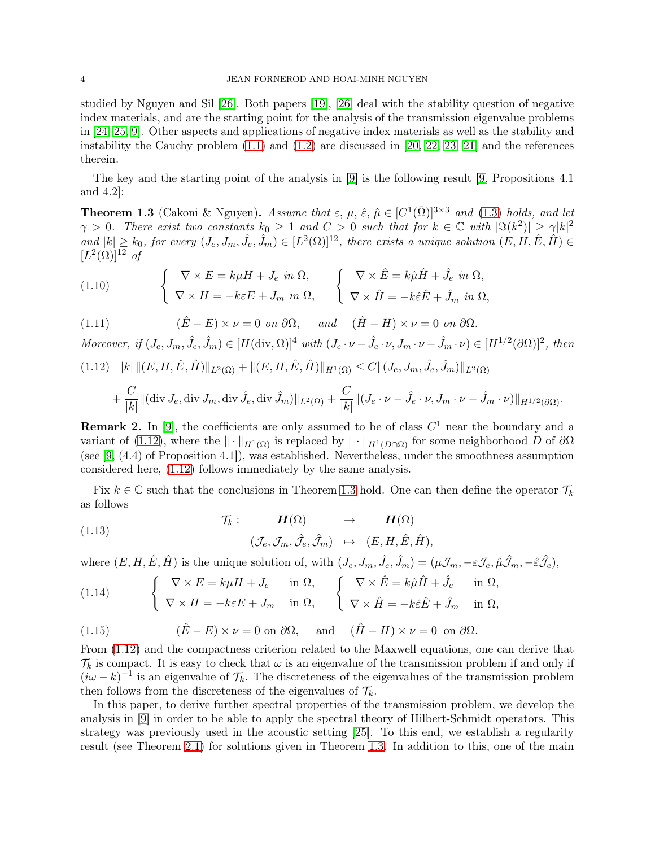studied by Nguyen and Sil [\[26\]](#page-16-17). Both papers [\[19\]](#page-16-16), [\[26\]](#page-16-17) deal with the stability question of negative index materials, and are the starting point for the analysis of the transmission eigenvalue problems in [\[24,](#page-16-10) [25,](#page-16-11) [9\]](#page-16-3). Other aspects and applications of negative index materials as well as the stability and instability the Cauchy problem  $(1.1)$  and  $(1.2)$  are discussed in [\[20,](#page-16-15) [22,](#page-16-18) [23,](#page-16-19) [21\]](#page-16-20) and the references therein.

<span id="page-3-2"></span>The key and the starting point of the analysis in [\[9\]](#page-16-3) is the following result [\[9,](#page-16-3) Propositions 4.1 and 4.2]:

**Theorem 1.3** (Cakoni & Nguyen). *Assume that*  $\varepsilon$ ,  $\mu$ ,  $\hat{\varepsilon}$ ,  $\hat{\mu} \in [C^1(\bar{\Omega})]^{3 \times 3}$  *and* [\(1.3\)](#page-0-0) *holds, and let*  $\gamma > 0$ . There exist two constants  $k_0 \geq 1$  and  $C > 0$  such that for  $k \in \mathbb{C}$  with  $|\Im(k^2)| \geq \gamma |k|^2$ and  $|k| \geq k_0$ , for every  $(J_e, J_m, \hat{J}_e, \hat{J}_m) \in [L^2(\Omega)]^{12}$ , there exists a unique solution  $(E, H, \hat{E}, \hat{H}) \in$  $[L^2(\Omega)]^{12}$  of

(1.10) 
$$
\begin{cases} \nabla \times E = k\mu H + J_e \text{ in } \Omega, \\ \nabla \times H = -k\varepsilon E + J_m \text{ in } \Omega, \n\end{cases} \n\begin{cases} \nabla \times \hat{E} = k\hat{\mu}\hat{H} + \hat{J}_e \text{ in } \Omega, \\ \nabla \times \hat{H} = -k\hat{\varepsilon}\hat{E} + \hat{J}_m \text{ in } \Omega, \n\end{cases}
$$

(1.11)  $(\hat{E} - E) \times \nu = 0 \text{ on } \partial\Omega, \text{ and } (\hat{H} - H) \times \nu = 0 \text{ on } \partial\Omega.$ 

*Moreover, if*  $(J_e, J_m, \hat{J}_e, \hat{J}_m) \in [H(\text{div}, \Omega)]^4$  *with*  $(J_e \cdot \nu - \hat{J}_e \cdot \nu, J_m \cdot \nu - \hat{J}_m \cdot \nu) \in [H^{1/2}(\partial \Omega)]^2$ , then

<span id="page-3-1"></span>
$$
(1.12) \quad |k| \, \|(E, H, \hat{E}, \hat{H})\|_{L^2(\Omega)} + \|(E, H, \hat{E}, \hat{H})\|_{H^1(\Omega)} \le C \|(J_e, J_m, \hat{J}_e, \hat{J}_m)\|_{L^2(\Omega)}
$$

$$
+ \frac{C}{|k|} \|(\text{div } J_e, \text{div } J_m, \text{div } \hat J_e, \text{div } \hat J_m)\|_{L^2(\Omega)} + \frac{C}{|k|} \| (J_e \cdot \nu - \hat J_e \cdot \nu, J_m \cdot \nu - \hat J_m \cdot \nu) \|_{H^{1/2}(\partial \Omega)}.
$$

**Remark 2.** In [\[9\]](#page-16-3), the coefficients are only assumed to be of class  $C<sup>1</sup>$  near the boundary and a variant of [\(1.12\)](#page-3-1), where the  $\|\cdot\|_{H^1(\Omega)}$  is replaced by  $\|\cdot\|_{H^1(D\cap\Omega)}$  for some neighborhood D of  $\partial\Omega$ (see [\[9,](#page-16-3) (4.4) of Proposition 4.1]), was established. Nevertheless, under the smoothness assumption considered here, [\(1.12\)](#page-3-1) follows immediately by the same analysis.

Fix  $k \in \mathbb{C}$  such that the conclusions in Theorem [1.3](#page-3-2) hold. One can then define the operator  $\mathcal{T}_k$ as follows

<span id="page-3-0"></span>(1.13) 
$$
\mathcal{T}_k: \qquad \mathbf{H}(\Omega) \qquad \rightarrow \qquad \mathbf{H}(\Omega) \n(\mathcal{J}_e, \mathcal{J}_m, \hat{\mathcal{J}}_e, \hat{\mathcal{J}}_m) \qquad \mapsto \qquad (E, H, \hat{E}, \hat{H}),
$$

where  $(E, H, \hat{E}, \hat{H})$  is the unique solution of, with  $(J_e, J_m, \hat{J}_e, \hat{J}_m) = (\mu \mathcal{J}_m, -\varepsilon \mathcal{J}_e, \hat{\mu} \hat{\mathcal{J}}_m, -\hat{\varepsilon} \hat{\mathcal{J}}_e),$ 

<span id="page-3-3"></span>(1.14) 
$$
\begin{cases} \nabla \times E = k\mu H + J_e & \text{in } \Omega, \\ \nabla \times H = -k\varepsilon E + J_m & \text{in } \Omega, \end{cases} \begin{cases} \nabla \times \hat{E} = k\hat{\mu}\hat{H} + \hat{J}_e & \text{in } \Omega, \\ \nabla \times \hat{H} = -k\hat{\varepsilon}\hat{E} + \hat{J}_m & \text{in } \Omega, \end{cases}
$$

(1.15) 
$$
(\hat{E} - E) \times \nu = 0 \text{ on } \partial\Omega, \text{ and } (\hat{H} - H) \times \nu = 0 \text{ on } \partial\Omega.
$$

From [\(1.12\)](#page-3-1) and the compactness criterion related to the Maxwell equations, one can derive that  $\mathcal{T}_k$  is compact. It is easy to check that  $\omega$  is an eigenvalue of the transmission problem if and only if  $(i\omega - k)^{-1}$  is an eigenvalue of  $\mathcal{T}_k$ . The discreteness of the eigenvalues of the transmission problem then follows from the discreteness of the eigenvalues of  $\mathcal{T}_k$ .

In this paper, to derive further spectral properties of the transmission problem, we develop the analysis in [\[9\]](#page-16-3) in order to be able to apply the spectral theory of Hilbert-Schmidt operators. This strategy was previously used in the acoustic setting [\[25\]](#page-16-11). To this end, we establish a regularity result (see Theorem [2.1\)](#page-4-1) for solutions given in Theorem [1.3.](#page-3-2) In addition to this, one of the main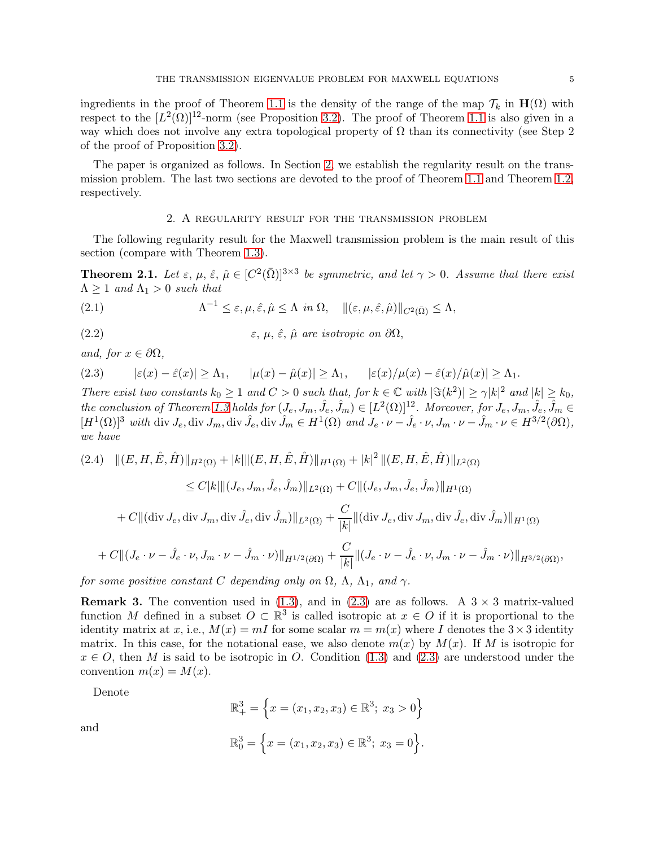ingredients in the proof of Theorem [1.1](#page-1-0) is the density of the range of the map  $\mathcal{T}_k$  in  $\mathbf{H}(\Omega)$  with respect to the  $[L^2(\Omega)]^{12}$ -norm (see Proposition [3.2\)](#page-8-0). The proof of Theorem [1.1](#page-1-0) is also given in a way which does not involve any extra topological property of  $\Omega$  than its connectivity (see Step 2) of the proof of Proposition [3.2\)](#page-8-0).

The paper is organized as follows. In Section [2,](#page-4-2) we establish the regularity result on the transmission problem. The last two sections are devoted to the proof of Theorem [1.1](#page-1-0) and Theorem [1.2,](#page-1-1) respectively.

## 2. A regularity result for the transmission problem

<span id="page-4-2"></span><span id="page-4-1"></span>The following regularity result for the Maxwell transmission problem is the main result of this section (compare with Theorem [1.3\)](#page-3-2).

**Theorem 2.1.** Let  $\varepsilon$ ,  $\mu$ ,  $\hat{\varepsilon}$ ,  $\hat{\mu} \in [C^2(\bar{\Omega})]^{3 \times 3}$  be symmetric, and let  $\gamma > 0$ . Assume that there exist  $\Lambda \geq 1$  *and*  $\Lambda_1 > 0$  *such that* 

(2.1) 
$$
\Lambda^{-1} \leq \varepsilon, \mu, \hat{\varepsilon}, \hat{\mu} \leq \Lambda \quad \text{in } \Omega, \quad \|(\varepsilon, \mu, \hat{\varepsilon}, \hat{\mu})\|_{C^2(\bar{\Omega})} \leq \Lambda,
$$

(2.2)  $\varepsilon, \mu, \hat{\varepsilon}, \hat{\mu}$  are isotropic on  $\partial\Omega$ ,

*and, for*  $x \in \partial\Omega$ *,* 

<span id="page-4-3"></span>
$$
(2.3) \qquad |\varepsilon(x) - \hat{\varepsilon}(x)| \ge \Lambda_1, \qquad |\mu(x) - \hat{\mu}(x)| \ge \Lambda_1, \qquad |\varepsilon(x)/\mu(x) - \hat{\varepsilon}(x)/\hat{\mu}(x)| \ge \Lambda_1.
$$

*There exist two constants*  $k_0 \geq 1$  *and*  $C > 0$  *such that, for*  $k \in \mathbb{C}$  *with*  $|\Im(k^2)| \geq \gamma |k|^2$  *and*  $|k| \geq k_0$ ,  $the\ conclusion\ of\ Theorem\ 1.3\ holds for\ (J_e,J_m,\hat J_e,\hat J_m)\in [L^2(\Omega)]^{12}.$  $the\ conclusion\ of\ Theorem\ 1.3\ holds for\ (J_e,J_m,\hat J_e,\hat J_m)\in [L^2(\Omega)]^{12}.$  $the\ conclusion\ of\ Theorem\ 1.3\ holds for\ (J_e,J_m,\hat J_e,\hat J_m)\in [L^2(\Omega)]^{12}.$  Moreover, for  $J_e,J_m,\hat J_e,\hat J_m\in J_m$  $[H^1(\Omega)]^3$  with div  $J_e$ , div  $\hat{J}_m$ , div  $\hat{J}_m \in H^1(\Omega)$  and  $J_e \cdot \nu - \hat{J}_e \cdot \nu$ ,  $J_m \cdot \nu - \hat{J}_m \cdot \nu \in H^{3/2}(\partial \Omega)$ , *we have*

<span id="page-4-4"></span>
$$
(2.4) \quad ||(E, H, \hat{E}, \hat{H})||_{H^{2}(\Omega)} + |k| ||(E, H, \hat{E}, \hat{H})||_{H^{1}(\Omega)} + |k|^{2} ||(E, H, \hat{E}, \hat{H})||_{L^{2}(\Omega)}
$$
  
\n
$$
\leq C|k| ||(J_{e}, J_{m}, \hat{J}_{e}, \hat{J}_{m})||_{L^{2}(\Omega)} + C||(J_{e}, J_{m}, \hat{J}_{e}, \hat{J}_{m})||_{H^{1}(\Omega)}
$$
  
\n
$$
+ C||( \operatorname{div} J_{e}, \operatorname{div} J_{m}, \operatorname{div} \hat{J}_{e}, \operatorname{div} \hat{J}_{m})||_{L^{2}(\Omega)} + \frac{C}{|k|} ||(\operatorname{div} J_{e}, \operatorname{div} J_{m}, \operatorname{div} \hat{J}_{e}, \operatorname{div} \hat{J}_{m})||_{H^{1}(\Omega)}
$$
  
\n
$$
+ C||(J_{e} \cdot \nu - \hat{J}_{e} \cdot \nu, J_{m} \cdot \nu - \hat{J}_{m} \cdot \nu)||_{H^{1/2}(\partial \Omega)} + \frac{C}{|k|} ||(J_{e} \cdot \nu - \hat{J}_{e} \cdot \nu, J_{m} \cdot \nu - \hat{J}_{m} \cdot \nu)||_{H^{3/2}(\partial \Omega)},
$$

<span id="page-4-0"></span>*for some positive constant* C *depending only on*  $\Omega$ ,  $\Lambda$ ,  $\Lambda$ <sub>1</sub>*, and*  $\gamma$ *.* 

**Remark 3.** The convention used in [\(1.3\)](#page-0-0), and in [\(2.3\)](#page-4-3) are as follows. A  $3 \times 3$  matrix-valued function M defined in a subset  $O \subset \mathbb{R}^3$  is called isotropic at  $x \in O$  if it is proportional to the identity matrix at x, i.e.,  $M(x) = mI$  for some scalar  $m = m(x)$  where I denotes the  $3 \times 3$  identity matrix. In this case, for the notational ease, we also denote  $m(x)$  by  $M(x)$ . If M is isotropic for  $x \in O$ , then M is said to be isotropic in O. Condition [\(1.3\)](#page-0-0) and [\(2.3\)](#page-4-3) are understood under the convention  $m(x) = M(x)$ .

Denote

and

$$
\mathbb{R}^3_+ = \left\{ x = (x_1, x_2, x_3) \in \mathbb{R}^3; \ x_3 > 0 \right\}
$$

$$
\mathbb{R}_0^3 = \left\{ x = (x_1, x_2, x_3) \in \mathbb{R}^3; \ x_3 = 0 \right\}.
$$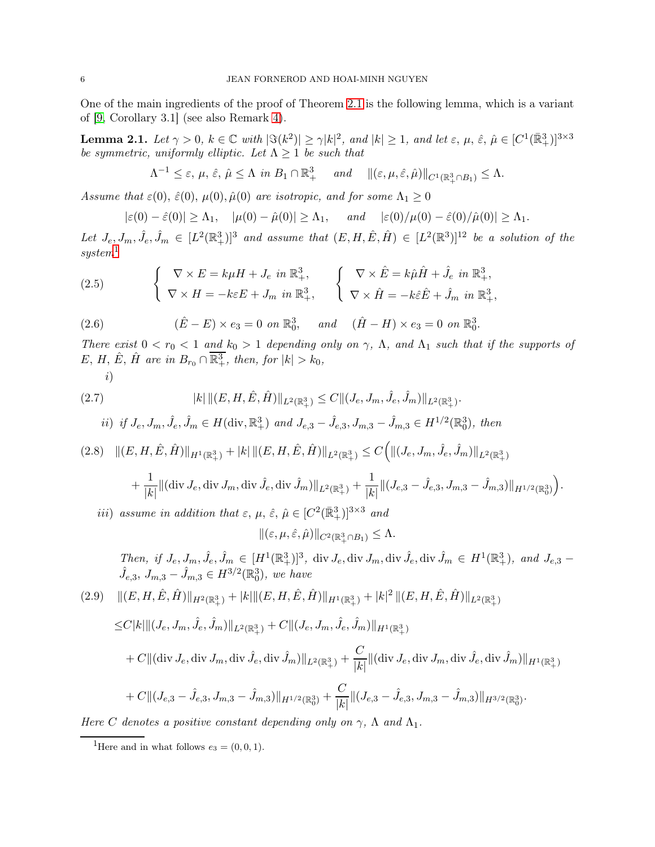<span id="page-5-5"></span>One of the main ingredients of the proof of Theorem [2.1](#page-4-1) is the following lemma, which is a variant of [\[9,](#page-16-3) Corollary 3.1] (see also Remark [4\)](#page-5-0).

Lemma 2.1. Let  $\gamma > 0$ ,  $k \in \mathbb{C}$  with  $|\Im(k^2)| \ge \gamma |k|^2$ , and  $|k| \ge 1$ , and let  $\varepsilon$ ,  $\mu$ ,  $\hat{\varepsilon}$ ,  $\hat{\mu} \in [C^1(\mathbb{R}^3_+)]^{3 \times 3}$ *be symmetric, uniformly elliptic. Let*  $\Lambda \geq 1$  *be such that* 

$$
\Lambda^{-1} \leq \varepsilon, \, \mu, \, \hat{\varepsilon}, \, \hat{\mu} \leq \Lambda \, \, \text{in} \, \, B_1 \cap \mathbb{R}^3_+ \quad \text{and} \quad \|(\varepsilon, \mu, \hat{\varepsilon}, \hat{\mu})\|_{C^1(\mathbb{R}^3_+\cap B_1)} \leq \Lambda.
$$

*Assume that*  $\varepsilon(0)$ ,  $\hat{\varepsilon}(0)$ ,  $\mu(0)$ ,  $\hat{\mu}(0)$  *are isotropic, and for some*  $\Lambda_1 \geq 0$ 

<span id="page-5-3"></span>
$$
|\varepsilon(0) - \hat{\varepsilon}(0)| \ge \Lambda_1
$$
,  $|\mu(0) - \hat{\mu}(0)| \ge \Lambda_1$ , and  $|\varepsilon(0)/\mu(0) - \hat{\varepsilon}(0)/\hat{\mu}(0)| \ge \Lambda_1$ .

Let  $J_e, J_m, \hat{J}_e, \hat{J}_m \in [L^2(\mathbb{R}^3_+)]^3$  and assume that  $(E, H, \hat{E}, \hat{H}) \in [L^2(\mathbb{R}^3)]^{12}$  be a solution of the *system*[1](#page-5-1)

(2.5) 
$$
\begin{cases} \nabla \times E = k\mu H + J_e \text{ in } \mathbb{R}^3_+, \\ \nabla \times H = -k\varepsilon E + J_m \text{ in } \mathbb{R}^3_+, \n\end{cases} \n\begin{cases} \nabla \times \hat{E} = k\hat{\mu}\hat{H} + \hat{J}_e \text{ in } \mathbb{R}^3_+, \\ \nabla \times \hat{H} = -k\hat{\varepsilon}\hat{E} + \hat{J}_m \text{ in } \mathbb{R}^3_+, \n\end{cases}
$$

(2.6) 
$$
(\hat{E} - E) \times e_3 = 0 \text{ on } \mathbb{R}^3_0, \text{ and } (\hat{H} - H) \times e_3 = 0 \text{ on } \mathbb{R}^3_0.
$$

*There exist*  $0 < r_0 < 1$  *and*  $k_0 > 1$  *depending only on*  $\gamma$ ,  $\Lambda$ , *and*  $\Lambda_1$  *such that if the supports of*  $E, H, \hat{E}, \hat{H}$  are in  $B_{r_0} \cap \overline{\mathbb{R}^3_+}$ , then, for  $|k| > k_0$ ,

<span id="page-5-4"></span>
$$
i)_{-}
$$

(2.7) 
$$
|k| \|(E, H, \hat{E}, \hat{H})\|_{L^2(\mathbb{R}^3_+)} \leq C \|(J_e, J_m, \hat{J}_e, \hat{J}_m)\|_{L^2(\mathbb{R}^3_+)}.
$$

*ii)* if 
$$
J_e
$$
,  $J_m$ ,  $\hat{J}_e$ ,  $\hat{J}_m \in H(\text{div}, \mathbb{R}^3_+)$  and  $J_{e,3} - \hat{J}_{e,3}$ ,  $J_{m,3} - \hat{J}_{m,3} \in H^{1/2}(\mathbb{R}^3_0)$ , then

$$
(2.8)\quad \| (E, H, \hat{E}, \hat{H}) \|_{H^1(\mathbb{R}^3_+)} + |k| \| (E, H, \hat{E}, \hat{H}) \|_{L^2(\mathbb{R}^3_+)} \leq C \Big( \| (J_e, J_m, \hat{J}_e, \hat{J}_m) \|_{L^2(\mathbb{R}^3_+)}
$$

$$
+ \frac{1}{|k|} \|(\text{div } J_e, \text{div } J_m, \text{div } \hat J_e, \text{div } \hat J_m)\|_{L^2(\mathbb{R}^3_+)} + \frac{1}{|k|} \| (J_{e,3} - \hat J_{e,3}, J_{m,3} - \hat J_{m,3}) \|_{H^{1/2}(\mathbb{R}^3_0)} \Big).
$$

iii) assume in addition that  $\varepsilon$ ,  $\mu$ ,  $\hat{\varepsilon}$ ,  $\hat{\mu} \in [C^2(\mathbb{R}^3_+)]^{3 \times 3}$  and

$$
\|(\varepsilon,\mu,\hat{\varepsilon},\hat{\mu})\|_{C^2(\mathbb{R}^3_+\cap B_1)}\leq \Lambda.
$$

*Then, if*  $J_e, J_m, \hat{J}_e, \hat{J}_m \in [H^1(\mathbb{R}^3_+)]^3$ , div  $J_e$ , div  $J_m$ , div  $\hat{J}_e$ , div  $\hat{J}_m \in H^1(\mathbb{R}^3_+)$ , and  $J_{e,3}$  –  $\hat{J}_{e,3}, J_{m,3} - \hat{J}_{m,3} \in H^{3/2}(\mathbb{R}^3_0)$ , we have

<span id="page-5-2"></span>
$$
(2.9) \quad ||(E, H, \hat{E}, \hat{H})||_{H^{2}(\mathbb{R}^{3}_{+})} + |k||(E, H, \hat{E}, \hat{H})||_{H^{1}(\mathbb{R}^{3}_{+})} + |k|^{2} ||(E, H, \hat{E}, \hat{H})||_{L^{2}(\mathbb{R}^{3}_{+})}
$$
  
\n
$$
\leq C|k|||(J_{e}, J_{m}, \hat{J}_{e}, \hat{J}_{m})||_{L^{2}(\mathbb{R}^{3}_{+})} + C||(J_{e}, J_{m}, \hat{J}_{e}, \hat{J}_{m})||_{H^{1}(\mathbb{R}^{3}_{+})}
$$
  
\n
$$
+ C||({\rm div}\, J_{e}, {\rm div}\, J_{m}, {\rm div}\, \hat{J}_{e}, {\rm div}\, \hat{J}_{m})||_{L^{2}(\mathbb{R}^{3}_{+})} + \frac{C}{|k|}||({\rm div}\, J_{e}, {\rm div}\, J_{m}, {\rm div}\, \hat{J}_{e}, {\rm div}\, \hat{J}_{m})||_{H^{1}(\mathbb{R}^{3}_{+})}
$$
  
\n
$$
+ C||(J_{e,3} - \hat{J}_{e,3}, J_{m,3} - \hat{J}_{m,3})||_{H^{1/2}(\mathbb{R}^{3}_{0})} + \frac{C}{|k|}||(J_{e,3} - \hat{J}_{e,3}, J_{m,3} - \hat{J}_{m,3})||_{H^{3/2}(\mathbb{R}^{3}_{0})}.
$$

<span id="page-5-0"></span>*Here* C *denotes a positive constant depending only on*  $\gamma$ ,  $\Lambda$  *and*  $\Lambda$ <sub>1</sub>.

<span id="page-5-1"></span><sup>&</sup>lt;sup>1</sup>Here and in what follows  $e_3 = (0, 0, 1)$ .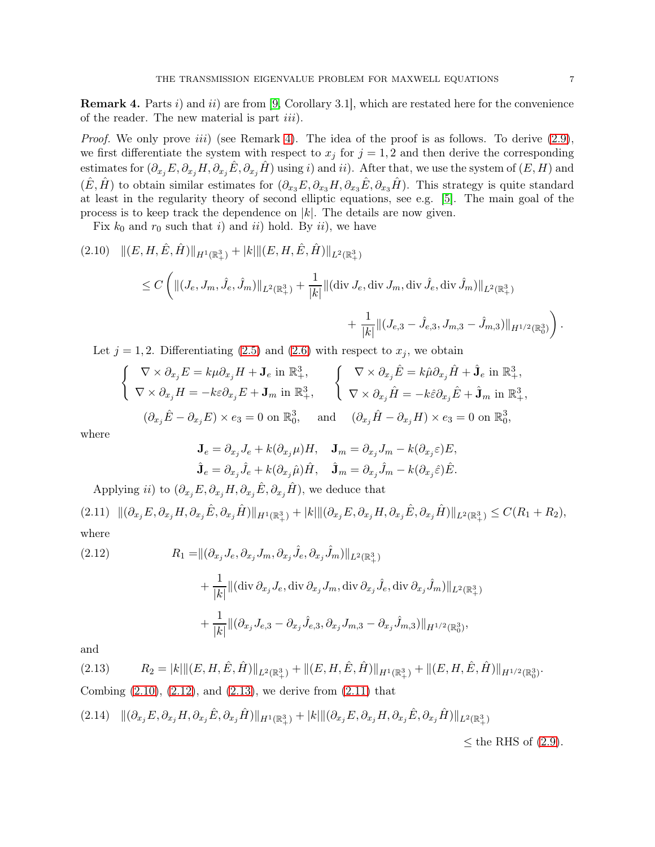**Remark 4.** Parts i) and ii) are from [\[9,](#page-16-3) Corollary 3.1], which are restated here for the convenience of the reader. The new material is part *iii*).

*Proof.* We only prove *iii*) (see Remark [4\)](#page-5-0). The idea of the proof is as follows. To derive [\(2.9\)](#page-5-2), we first differentiate the system with respect to  $x_j$  for  $j = 1, 2$  and then derive the corresponding estimates for  $(\partial_{x_j}E, \partial_{x_j}H, \partial_{x_j}\hat{E}, \partial_{x_j}\hat{H})$  using i) and ii). After that, we use the system of  $(E, H)$  and  $(\hat{E}, \hat{H})$  to obtain similar estimates for  $(\partial_{x_3}E, \partial_{x_3}H, \partial_{x_3}\hat{E}, \partial_{x_3}\hat{H})$ . This strategy is quite standard at least in the regularity theory of second elliptic equations, see e.g. [\[5\]](#page-16-21). The main goal of the process is to keep track the dependence on  $|k|$ . The details are now given.

Fix  $k_0$  and  $r_0$  such that i) and ii) hold. By ii), we have

<span id="page-6-0"></span>
$$
(2.10) \quad ||(E, H, \hat{E}, \hat{H})||_{H^1(\mathbb{R}^3_+)} + |k|||(E, H, \hat{E}, \hat{H})||_{L^2(\mathbb{R}^3_+)}\leq C \left( ||(J_e, J_m, \hat{J}_e, \hat{J}_m)||_{L^2(\mathbb{R}^3_+)} + \frac{1}{|k|} ||(\text{div } J_e, \text{div } J_m, \text{div } \hat{J}_e, \text{div } \hat{J}_m)||_{L^2(\mathbb{R}^3_+)} \right) + \frac{1}{|k|} ||(J_{e,3} - \hat{J}_{e,3}, J_{m,3} - \hat{J}_{m,3})||_{H^{1/2}(\mathbb{R}^3_0)} \right).
$$

Let  $j = 1, 2$ . Differentiating [\(2.5\)](#page-5-3) and [\(2.6\)](#page-5-4) with respect to  $x_j$ , we obtain

$$
\begin{cases}\n\nabla \times \partial_{x_j} E = k \mu \partial_{x_j} H + \mathbf{J}_e \text{ in } \mathbb{R}^3_+, \\
\nabla \times \partial_{x_j} H = -k \varepsilon \partial_{x_j} E + \mathbf{J}_m \text{ in } \mathbb{R}^3_+, \\
(\partial_{x_j} \hat{E} - \partial_{x_j} E) \times e_3 = 0 \text{ on } \mathbb{R}^3_0,\n\end{cases}\n\qquad\n\begin{cases}\n\nabla \times \partial_{x_j} \hat{E} = k \hat{\mu} \partial_{x_j} \hat{H} + \hat{\mathbf{J}}_e \text{ in } \mathbb{R}^3_+, \\
\nabla \times \partial_{x_j} \hat{H} = -k \hat{\varepsilon} \partial_{x_j} \hat{E} + \hat{\mathbf{J}}_m \text{ in } \mathbb{R}^3_+, \\
(\partial_{x_j} \hat{E} - \partial_{x_j} E) \times e_3 = 0 \text{ on } \mathbb{R}^3_0,\n\end{cases}
$$

where

$$
\mathbf{J}_e = \partial_{x_j} J_e + k(\partial_{x_j} \mu) H, \quad \mathbf{J}_m = \partial_{x_j} J_m - k(\partial_{x_j} \varepsilon) E,
$$
  

$$
\hat{\mathbf{J}}_e = \partial_{x_j} \hat{J}_e + k(\partial_{x_j} \hat{\mu}) \hat{H}, \quad \hat{\mathbf{J}}_m = \partial_{x_j} \hat{J}_m - k(\partial_{x_j} \hat{\varepsilon}) \hat{E}.
$$

Applying *ii*) to  $(\partial_{x_j} E, \partial_{x_j} H, \partial_{x_j} \hat{E}, \partial_{x_j} \hat{H})$ , we deduce that

<span id="page-6-3"></span> $(2.11) \quad ||(\partial_{x_j} E, \partial_{x_j} H, \partial_{x_j} \hat{E}, \partial_{x_j} \hat{H})||_{H^1(\mathbb{R}^3_+)} + |k| ||(\partial_{x_j} E, \partial_{x_j} H, \partial_{x_j} \hat{E}, \partial_{x_j} \hat{H})||_{L^2(\mathbb{R}^3_+)} \leq C(R_1 + R_2),$ where

<span id="page-6-1"></span>(2.12) 
$$
R_{1} = ||(\partial_{x_{j}} J_{e}, \partial_{x_{j}} J_{m}, \partial_{x_{j}} \hat{J}_{e}, \partial_{x_{j}} \hat{J}_{m})||_{L^{2}(\mathbb{R}^{3}_{+})} + \frac{1}{|k|} ||(\text{div } \partial_{x_{j}} J_{e}, \text{div } \partial_{x_{j}} J_{m}, \text{div } \partial_{x_{j}} \hat{J}_{e}, \text{div } \partial_{x_{j}} \hat{J}_{m})||_{L^{2}(\mathbb{R}^{3}_{+})} + \frac{1}{|k|} ||(\partial_{x_{j}} J_{e,3} - \partial_{x_{j}} \hat{J}_{e,3}, \partial_{x_{j}} J_{m,3} - \partial_{x_{j}} \hat{J}_{m,3})||_{H^{1/2}(\mathbb{R}^{3}_{0})},
$$

and

<span id="page-6-2"></span>
$$
(2.13) \t R_2 = |k| \| (E, H, \hat{E}, \hat{H}) \|_{L^2(\mathbb{R}^3_+)} + \| (E, H, \hat{E}, \hat{H}) \|_{H^1(\mathbb{R}^3_+)} + \| (E, H, \hat{E}, \hat{H}) \|_{H^{1/2}(\mathbb{R}^3_0)}.
$$

Combing  $(2.10)$ ,  $(2.12)$ , and  $(2.13)$ , we derive from  $(2.11)$  that

<span id="page-6-4"></span>
$$
(2.14)\quad ||(\partial_{x_j}E,\partial_{x_j}H,\partial_{x_j}\hat{E},\partial_{x_j}\hat{H})||_{H^1(\mathbb{R}^3_+)}+|k|\|(\partial_{x_j}E,\partial_{x_j}H,\partial_{x_j}\hat{E},\partial_{x_j}\hat{H})||_{L^2(\mathbb{R}^3_+)}
$$

 $\leq$  the RHS of [\(2.9\)](#page-5-2).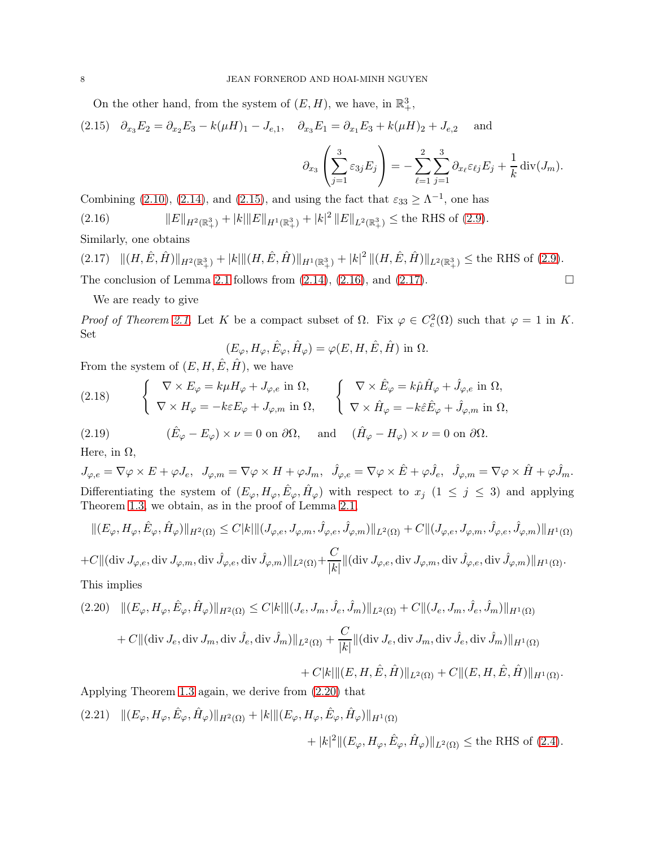On the other hand, from the system of  $(E, H)$ , we have, in  $\mathbb{R}^3_+$ ,

<span id="page-7-0"></span>(2.15)  $\partial_{x_3} E_2 = \partial_{x_2} E_3 - k(\mu H)_1 - J_{e,1}, \quad \partial_{x_3} E_1 = \partial_{x_1} E_3 + k(\mu H)_2 + J_{e,2}$  and

$$
\partial_{x_3} \left( \sum_{j=1}^3 \varepsilon_{3j} E_j \right) = - \sum_{\ell=1}^2 \sum_{j=1}^3 \partial_{x_\ell} \varepsilon_{\ell j} E_j + \frac{1}{k} \operatorname{div}(J_m).
$$

<span id="page-7-1"></span>Combining [\(2.10\)](#page-6-0), [\(2.14\)](#page-6-4), and [\(2.15\)](#page-7-0), and using the fact that  $\varepsilon_{33} \geq \Lambda^{-1}$ , one has (2.16)  $||E||_{H^2(\mathbb{R}^3_+)} + |k||E||_{H^1(\mathbb{R}^3_+)} + |k|^2 ||E||_{L^2(\mathbb{R}^3_+)} \leq$  the RHS of [\(2.9\)](#page-5-2).

Similarly, one obtains

<span id="page-7-2"></span> $(2.17)$   $\|(H, \hat{E}, \hat{H})\|_{H^2(\mathbb{R}^3_+)} + |k| \| (H, \hat{E}, \hat{H}) \|_{H^1(\mathbb{R}^3_+)} + |k|^2 \| (H, \hat{E}, \hat{H}) \|_{L^2(\mathbb{R}^3_+)} \leq$  the RHS of [\(2.9\)](#page-5-2). The conclusion of Lemma [2.1](#page-5-5) follows from  $(2.14)$ ,  $(2.16)$ , and  $(2.17)$ .

We are ready to give

*Proof of Theorem [2.1.](#page-4-1)* Let K be a compact subset of  $\Omega$ . Fix  $\varphi \in C_c^2(\Omega)$  such that  $\varphi = 1$  in K. Set

$$
(E_{\varphi}, H_{\varphi}, \hat{E}_{\varphi}, \hat{H}_{\varphi}) = \varphi(E, H, \hat{E}, \hat{H}) \text{ in } \Omega.
$$

From the system of  $(E, H, \hat{E}, \hat{H})$ , we have

(2.18) 
$$
\begin{cases} \nabla \times E_{\varphi} = k\mu H_{\varphi} + J_{\varphi,e} \text{ in } \Omega, \\ \nabla \times H_{\varphi} = -k\varepsilon E_{\varphi} + J_{\varphi,m} \text{ in } \Omega, \end{cases} \begin{cases} \nabla \times \hat{E}_{\varphi} = k\hat{\mu}\hat{H}_{\varphi} + \hat{J}_{\varphi,e} \text{ in } \Omega, \\ \nabla \times \hat{H}_{\varphi} = -k\hat{\varepsilon}\hat{E}_{\varphi} + \hat{J}_{\varphi,m} \text{ in } \Omega, \end{cases}
$$

(2.19) 
$$
(\hat{E}_{\varphi} - E_{\varphi}) \times \nu = 0 \text{ on } \partial \Omega
$$
, and  $(\hat{H}_{\varphi} - H_{\varphi}) \times \nu = 0 \text{ on } \partial \Omega$ .

Here, in  $\Omega$ ,

 $J_{\varphi,e} = \nabla \varphi \times E + \varphi J_e, \ \ J_{\varphi,m} = \nabla \varphi \times H + \varphi J_m, \ \ \hat{J}_{\varphi,e} = \nabla \varphi \times \hat{E} + \varphi \hat{J}_e, \ \ \hat{J}_{\varphi,m} = \nabla \varphi \times \hat{H} + \varphi \hat{J}_m.$ Differentiating the system of  $(E_{\varphi}, H_{\varphi}, \hat{E}_{\varphi}, \hat{H}_{\varphi})$  with respect to  $x_j$   $(1 \leq j \leq 3)$  and applying Theorem [1.3,](#page-3-2) we obtain, as in the proof of Lemma [2.1,](#page-5-5)

$$
\begin{split} &\|(E_{\varphi},H_{\varphi},\hat{E}_{\varphi},\hat{H}_{\varphi})\|_{H^{2}(\Omega)}\leq C|k|\|(J_{\varphi,e},J_{\varphi,m},\hat{J}_{\varphi,e},\hat{J}_{\varphi,m})\|_{L^{2}(\Omega)}+C\|(J_{\varphi,e},J_{\varphi,m},\hat{J}_{\varphi,e},\hat{J}_{\varphi,m})\|_{H^{1}(\Omega)}\\ +C\|(\mbox{div}\,J_{\varphi,e},\mbox{div}\,J_{\varphi,m},\mbox{div}\,\hat{J}_{\varphi,e},\mbox{div}\,\hat{J}_{\varphi,m})\|_{L^{2}(\Omega)}+\frac{C}{|k|}\|(\mbox{div}\,J_{\varphi,e},\mbox{div}\,J_{\varphi,m},\mbox{div}\,\hat{J}_{\varphi,e},\mbox{div}\,\hat{J}_{\varphi,m})\|_{H^{1}(\Omega)}. \end{split}
$$

This implies

<span id="page-7-3"></span>
$$
(2.20) \quad ||(E_{\varphi}, H_{\varphi}, \hat{E}_{\varphi}, \hat{H}_{\varphi})||_{H^{2}(\Omega)} \leq C|k|||(J_{e}, J_{m}, \hat{J}_{e}, \hat{J}_{m})||_{L^{2}(\Omega)} + C||(J_{e}, J_{m}, \hat{J}_{e}, \hat{J}_{m})||_{H^{1}(\Omega)} + C||(\text{div } J_{e}, \text{div } J_{m}, \text{div } \hat{J}_{e}, \text{div } \hat{J}_{m})||_{L^{2}(\Omega)} + \frac{C}{|k|}||(\text{div } J_{e}, \text{div } J_{m}, \text{div } \hat{J}_{e}, \text{div } \hat{J}_{m})||_{H^{1}(\Omega)} + C|k|||(E, H, \hat{E}, \hat{H})||_{L^{2}(\Omega)} + C||(E, H, \hat{E}, \hat{H})||_{H^{1}(\Omega)}.
$$

Applying Theorem [1.3](#page-3-2) again, we derive from [\(2.20\)](#page-7-3) that

<span id="page-7-4"></span> $(2.21)$   $\|(E_{\varphi}, H_{\varphi}, \hat{E}_{\varphi}, \hat{H}_{\varphi})\|_{H^2(\Omega)} + |k| \| (E_{\varphi}, H_{\varphi}, \hat{E}_{\varphi}, \hat{H}_{\varphi}) \|_{H^1(\Omega)}$  $+ |k|^2 \| (E_{\varphi}, H_{\varphi}, \hat{E}_{\varphi}, \hat{H}_{\varphi}) \|_{L^2(\Omega)} \le \text{the RHS of } (2.4).$  $+ |k|^2 \| (E_{\varphi}, H_{\varphi}, \hat{E}_{\varphi}, \hat{H}_{\varphi}) \|_{L^2(\Omega)} \le \text{the RHS of } (2.4).$  $+ |k|^2 \| (E_{\varphi}, H_{\varphi}, \hat{E}_{\varphi}, \hat{H}_{\varphi}) \|_{L^2(\Omega)} \le \text{the RHS of } (2.4).$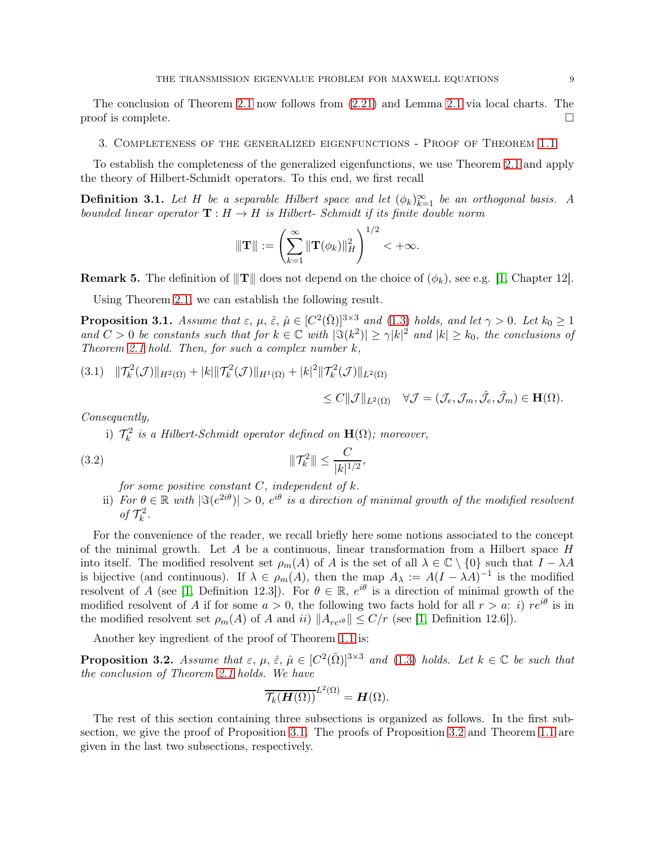The conclusion of Theorem [2.1](#page-4-1) now follows from [\(2.21\)](#page-7-4) and Lemma [2.1](#page-5-5) via local charts. The proof is complete.  $\Box$ 

3. Completeness of the generalized eigenfunctions - Proof of Theorem [1.1](#page-1-0)

To establish the completeness of the generalized eigenfunctions, we use Theorem [2.1](#page-4-1) and apply the theory of Hilbert-Schmidt operators. To this end, we first recall

**Definition 3.1.** Let H be a separable Hilbert space and let  $(\phi_k)_{k=1}^{\infty}$  be an orthogonal basis. A *bounded linear operator*  $\mathbf{T}: H \to H$  *is Hilbert- Schmidt if its finite double norm* 

$$
\|\mathbf{T}\| := \left(\sum_{k=1}^{\infty} \|\mathbf{T}(\phi_k)\|_{H}^2\right)^{1/2} < +\infty.
$$

**Remark 5.** The definition of  $\Vert \mathbf{T} \Vert$  does not depend on the choice of  $(\phi_k)$ , see e.g. [\[1,](#page-15-1) Chapter 12].

<span id="page-8-1"></span>Using Theorem [2.1,](#page-4-1) we can establish the following result.

**Proposition 3.1.** *Assume that*  $\varepsilon$ ,  $\mu$ ,  $\hat{\varepsilon}$ ,  $\hat{\mu} \in [C^2(\bar{\Omega})]^{3 \times 3}$  *and* [\(1.3\)](#page-0-0) *holds, and let*  $\gamma > 0$ *. Let*  $k_0 \ge 1$ and  $C > 0$  be constants such that for  $k \in \mathbb{C}$  with  $|\Im(k^2)| \geq \gamma |k|^2$  and  $|k| \geq k_0$ , the conclusions of *Theorem [2.1](#page-4-1) hold. Then, for such a complex number* k*,*

<span id="page-8-2"></span>
$$
(3.1) \quad ||\mathcal{T}_{k}^{2}(\mathcal{J})||_{H^{2}(\Omega)} + |k||\mathcal{T}_{k}^{2}(\mathcal{J})||_{H^{1}(\Omega)} + |k|^{2}||\mathcal{T}_{k}^{2}(\mathcal{J})||_{L^{2}(\Omega)}
$$

$$
\leq C \|\mathcal{J}\|_{L^2(\Omega)} \quad \forall \mathcal{J} = (\mathcal{J}_e, \mathcal{J}_m, \hat{\mathcal{J}}_e, \hat{\mathcal{J}}_m) \in \mathbf{H}(\Omega).
$$

*Consequently,*

*i*)  $\mathcal{T}_k^2$  *is a Hilbert-Schmidt operator defined on*  $\mathbf{H}(\Omega)$ *; moreover,* 

(3.2) 
$$
\|\mathcal{T}_k^2\| \le \frac{C}{|k|^{1/2}},
$$

*for some positive constant* C*, independent of* k*.*

ii) For  $\theta \in \mathbb{R}$  with  $|\Im(e^{2i\theta})| > 0$ ,  $e^{i\theta}$  is a direction of minimal growth of the modified resolvent *of*  $\mathcal{T}_k^2$ *.* 

For the convenience of the reader, we recall briefly here some notions associated to the concept of the minimal growth. Let A be a continuous, linear transformation from a Hilbert space  $H$ into itself. The modified resolvent set  $\rho_m(A)$  of A is the set of all  $\lambda \in \mathbb{C} \setminus \{0\}$  such that  $I - \lambda A$ is bijective (and continuous). If  $\lambda \in \rho_m(A)$ , then the map  $A_\lambda := A(I - \lambda A)^{-1}$  is the modified resolvent of A (see [\[1,](#page-15-1) Definition 12.3]). For  $\theta \in \mathbb{R}$ ,  $e^{i\theta}$  is a direction of minimal growth of the modified resolvent of A if for some  $a > 0$ , the following two facts hold for all  $r > a$ : i)  $re^{i\theta}$  is in the modified resolvent set  $\rho_m(A)$  of A and ii)  $||A_{re^{i\theta}}|| \leq C/r$  (see [\[1,](#page-15-1) Definition 12.6]).

<span id="page-8-0"></span>Another key ingredient of the proof of Theorem [1.1](#page-1-0) is:

**Proposition 3.2.** Assume that  $\varepsilon$ ,  $\mu$ ,  $\hat{\varepsilon}$ ,  $\hat{\mu} \in [C^2(\bar{\Omega})]^{3 \times 3}$  and [\(1.3\)](#page-0-0) holds. Let  $k \in \mathbb{C}$  be such that *the conclusion of Theorem [2.1](#page-4-1) holds. We have*

$$
\overline{\mathcal{T}_k(\boldsymbol{H}(\Omega))}^{L^2(\Omega)}=\boldsymbol{H}(\Omega).
$$

The rest of this section containing three subsections is organized as follows. In the first subsection, we give the proof of Proposition [3.1.](#page-8-1) The proofs of Proposition [3.2](#page-8-0) and Theorem [1.1](#page-1-0) are given in the last two subsections, respectively.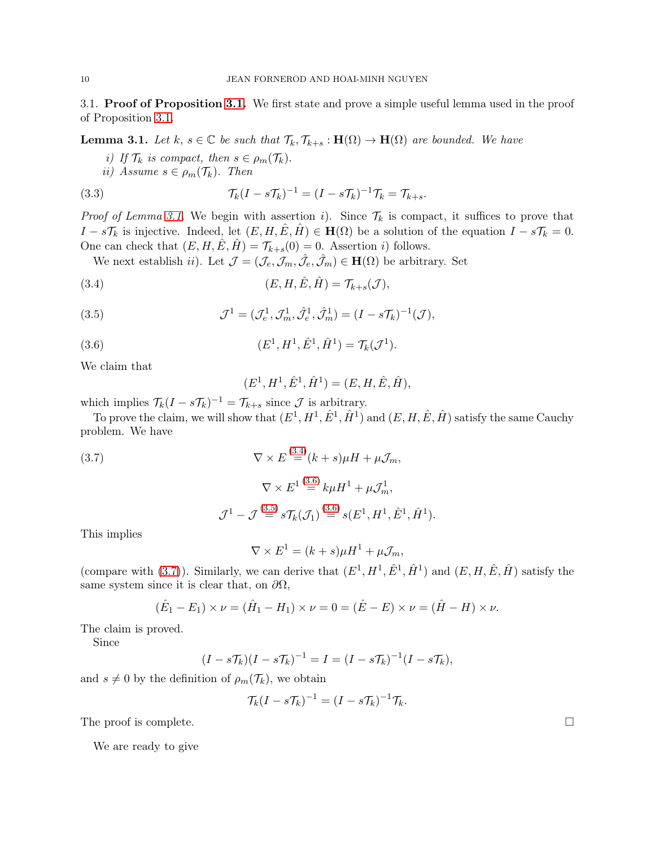<span id="page-9-0"></span>3.1. Proof of Proposition [3.1.](#page-8-1) We first state and prove a simple useful lemma used in the proof of Proposition [3.1.](#page-8-1)

**Lemma 3.1.** *Let*  $k, s \in \mathbb{C}$  *be such that*  $\mathcal{T}_k, \mathcal{T}_{k+s} : \mathbf{H}(\Omega) \to \mathbf{H}(\Omega)$  *are bounded. We have* 

*i)* If  $\mathcal{T}_k$  *is compact, then*  $s \in \rho_m(\mathcal{T}_k)$ .

$$
ii) Assume s \in \rho_m(\mathcal{T}_k). Then
$$

(3.3) 
$$
\mathcal{T}_k(I - s\mathcal{T}_k)^{-1} = (I - s\mathcal{T}_k)^{-1}\mathcal{T}_k = \mathcal{T}_{k+s}.
$$

*Proof of Lemma [3.1.](#page-9-0)* We begin with assertion i). Since  $\mathcal{T}_k$  is compact, it suffices to prove that  $I - s\mathcal{T}_k$  is injective. Indeed, let  $(E, H, \hat{E}, \hat{H}) \in \mathbf{H}(\Omega)$  be a solution of the equation  $I - s\mathcal{T}_k = 0$ . One can check that  $(E, H, \hat{E}, \hat{H}) = \mathcal{T}_{k+s}(0) = 0$ . Assertion *i*) follows.

We next establish *ii*). Let  $\mathcal{J} = (\mathcal{J}_e, \mathcal{J}_m, \hat{\mathcal{J}}_e, \hat{\mathcal{J}}_m) \in \mathbf{H}(\Omega)$  be arbitrary. Set

(3.4) 
$$
(E, H, \hat{E}, \hat{H}) = \mathcal{T}_{k+s}(\mathcal{J}),
$$

(3.5) 
$$
\mathcal{J}^1 = (\mathcal{J}_e^1, \mathcal{J}_m^1, \hat{\mathcal{J}}_e^1, \hat{\mathcal{J}}_m^1) = (I - s\mathcal{T}_k)^{-1}(\mathcal{J}),
$$

(3.6) 
$$
(E^1, H^1, \hat{E}^1, \hat{H}^1) = \mathcal{T}_k(\mathcal{J}^1).
$$

We claim that

<span id="page-9-4"></span><span id="page-9-3"></span><span id="page-9-2"></span><span id="page-9-1"></span>
$$
(E^1, H^1, \hat{E}^1, \hat{H}^1) = (E, H, \hat{E}, \hat{H}),
$$

which implies  $\mathcal{T}_k(I - s\mathcal{T}_k)^{-1} = \mathcal{T}_{k+s}$  since  $\mathcal J$  is arbitrary.

To prove the claim, we will show that  $(E^1, H^1, \hat{E}^1, \hat{H}^1)$  and  $(E, H, \hat{E}, \hat{H})$  satisfy the same Cauchy problem. We have

(3.7)  
\n
$$
\nabla \times E \stackrel{(3.4)}{=} (k+s)\mu H + \mu \mathcal{J}_m,
$$
\n
$$
\nabla \times E^{1} \stackrel{(3.6)}{=} k\mu H^{1} + \mu \mathcal{J}_m^{1},
$$
\n
$$
\mathcal{J}^{1} - \mathcal{J} \stackrel{(3.5)}{=} s\mathcal{T}_k(\mathcal{J}_1) \stackrel{(3.6)}{=} s(E^1, H^1, \hat{E}^1, \hat{H}^1).
$$
\nThis implies

This implies

$$
\nabla \times E^1 = (k+s)\mu H^1 + \mu \mathcal{J}_m,
$$

(compare with [\(3.7\)](#page-9-4)). Similarly, we can derive that  $(E^1, H^1, \hat{E}^1, \hat{H}^1)$  and  $(E, H, \hat{E}, \hat{H})$  satisfy the same system since it is clear that, on  $\partial\Omega$ ,

$$
(\hat{E}_1 - E_1) \times \nu = (\hat{H}_1 - H_1) \times \nu = 0 = (\hat{E} - E) \times \nu = (\hat{H} - H) \times \nu.
$$

The claim is proved.

Since

$$
(I - s\mathcal{T}_k)(I - s\mathcal{T}_k)^{-1} = I = (I - s\mathcal{T}_k)^{-1}(I - s\mathcal{T}_k),
$$

and  $s \neq 0$  by the definition of  $\rho_m(\mathcal{T}_k)$ , we obtain

$$
\mathcal{T}_k(I - s\mathcal{T}_k)^{-1} = (I - s\mathcal{T}_k)^{-1}\mathcal{T}_k.
$$

The proof is complete.  $\Box$ 

We are ready to give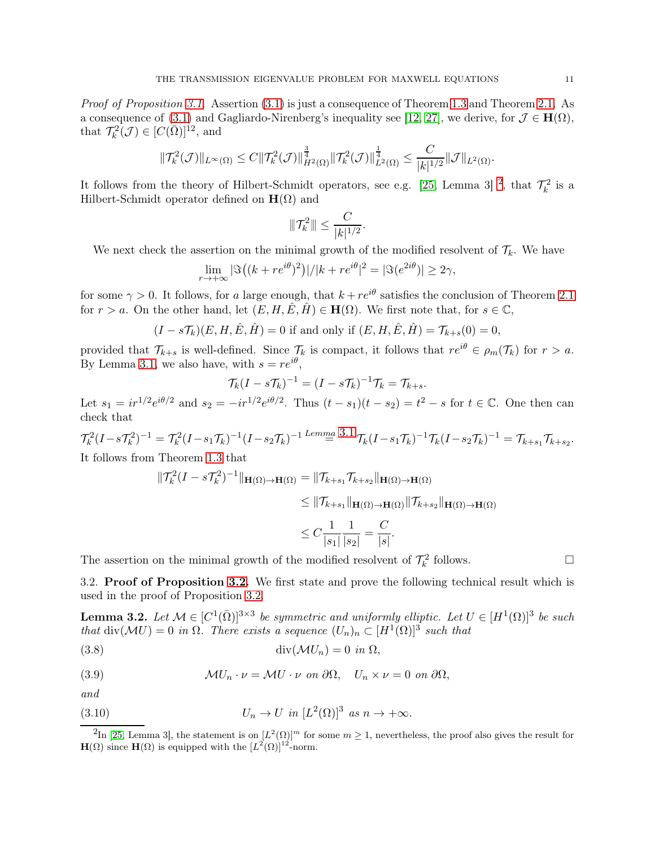*Proof of Proposition [3.1.](#page-8-1)* Assertion [\(3.1\)](#page-8-2) is just a consequence of Theorem [1.3](#page-3-2) and Theorem [2.1.](#page-4-1) As a consequence of [\(3.1\)](#page-8-1) and Gagliardo-Nirenberg's inequality see [\[12,](#page-16-22) [27\]](#page-16-23), we derive, for  $\mathcal{J} \in \mathbf{H}(\Omega)$ , that  $\mathcal{T}_k^2(\mathcal{J}) \in [C(\overline{\Omega})]^{12}$ , and

$$
\|\mathcal{T}_k^2(\mathcal{J})\|_{L^{\infty}(\Omega)} \leq C\|\mathcal{T}_k^2(\mathcal{J})\|_{H^2(\Omega)}^{\frac{3}{4}}\|\mathcal{T}_k^2(\mathcal{J})\|_{L^2(\Omega)}^{\frac{1}{4}} \leq \frac{C}{|k|^{1/2}}\|\mathcal{J}\|_{L^2(\Omega)}.
$$

It follows from the theory of Hilbert-Schmidt operators, see e.g. [\[25,](#page-16-11) Lemma 3]<sup>[2](#page-10-0)</sup>, that  $\mathcal{T}_k^2$  is a Hilbert-Schmidt operator defined on  $\mathbf{H}(\Omega)$  and

$$
\|\mathcal{T}_{k}^{2}\| \leq \frac{C}{|k|^{1/2}}.
$$

We next check the assertion on the minimal growth of the modified resolvent of  $\mathcal{T}_k$ . We have

$$
\lim_{r \to +\infty} |\Im\left((k + re^{i\theta})^2\right)|/|k + re^{i\theta}|^2 = |\Im(e^{2i\theta})| \ge 2\gamma,
$$

for some  $\gamma > 0$ . It follows, for a large enough, that  $k + re^{i\theta}$  satisfies the conclusion of Theorem [2.1](#page-4-1) for  $r > a$ . On the other hand, let  $(E, H, \hat{E}, \hat{H}) \in \mathbf{H}(\Omega)$ . We first note that, for  $s \in \mathbb{C}$ ,

 $(I - s\mathcal{T}_{k})(E, H, \hat{E}, \hat{H}) = 0$  if and only if  $(E, H, \hat{E}, \hat{H}) = \mathcal{T}_{k+s}(0) = 0$ ,

provided that  $\mathcal{T}_{k+s}$  is well-defined. Since  $\mathcal{T}_k$  is compact, it follows that  $re^{i\theta} \in \rho_m(\mathcal{T}_k)$  for  $r > a$ . By Lemma [3.1,](#page-9-0) we also have, with  $s = re^{i\theta}$ ,

$$
\mathcal{T}_k(I - s\mathcal{T}_k)^{-1} = (I - s\mathcal{T}_k)^{-1}\mathcal{T}_k = \mathcal{T}_{k+s}.
$$

Let  $s_1 = ir^{1/2}e^{i\theta/2}$  and  $s_2 = -ir^{1/2}e^{i\theta/2}$ . Thus  $(t - s_1)(t - s_2) = t^2 - s$  for  $t \in \mathbb{C}$ . One then can check that

 $\mathcal{T}_{k}^2(I-s\mathcal{T}_{k}^2)^{-1} = \mathcal{T}_{k}^2(I-s_1\mathcal{T}_{k})^{-1}(I-s_2\mathcal{T}_{k})^{-1} \stackrel{Lemma}{=} \frac{3.1}{\mathcal{T}_{k}}(I-s_1\mathcal{T}_{k})^{-1}\mathcal{T}_{k}(I-s_2\mathcal{T}_{k})^{-1} = \mathcal{T}_{k+s_1}\mathcal{T}_{k+s_2}.$  $\mathcal{T}_{k}^2(I-s\mathcal{T}_{k}^2)^{-1} = \mathcal{T}_{k}^2(I-s_1\mathcal{T}_{k})^{-1}(I-s_2\mathcal{T}_{k})^{-1} \stackrel{Lemma}{=} \frac{3.1}{\mathcal{T}_{k}}(I-s_1\mathcal{T}_{k})^{-1}\mathcal{T}_{k}(I-s_2\mathcal{T}_{k})^{-1} = \mathcal{T}_{k+s_1}\mathcal{T}_{k+s_2}.$  $\mathcal{T}_{k}^2(I-s\mathcal{T}_{k}^2)^{-1} = \mathcal{T}_{k}^2(I-s_1\mathcal{T}_{k})^{-1}(I-s_2\mathcal{T}_{k})^{-1} \stackrel{Lemma}{=} \frac{3.1}{\mathcal{T}_{k}}(I-s_1\mathcal{T}_{k})^{-1}\mathcal{T}_{k}(I-s_2\mathcal{T}_{k})^{-1} = \mathcal{T}_{k+s_1}\mathcal{T}_{k+s_2}.$ It follows from Theorem [1.3](#page-3-2) that

$$
\begin{aligned}\n\|\mathcal{T}_k^2 (I - s\mathcal{T}_k^2)^{-1}\|_{\mathbf{H}(\Omega) \to \mathbf{H}(\Omega)} &= \|\mathcal{T}_{k+s_1}\mathcal{T}_{k+s_2}\|_{\mathbf{H}(\Omega) \to \mathbf{H}(\Omega)} \\
&\le \|\mathcal{T}_{k+s_1}\|_{\mathbf{H}(\Omega) \to \mathbf{H}(\Omega)} \|\mathcal{T}_{k+s_2}\|_{\mathbf{H}(\Omega) \to \mathbf{H}(\Omega)} \\
&\le C \frac{1}{|s_1|} \frac{1}{|s_2|} = \frac{C}{|s|}.\n\end{aligned}
$$

The assertion on the minimal growth of the modified resolvent of  $\mathcal{T}_k^2$  follows.

<span id="page-10-1"></span>3.2. Proof of Proposition [3.2.](#page-8-0) We first state and prove the following technical result which is used in the proof of Proposition [3.2.](#page-8-0)

**Lemma 3.2.** Let  $M \in [C^1(\bar{\Omega})]^{3 \times 3}$  be symmetric and uniformly elliptic. Let  $U \in [H^1(\Omega)]^3$  be such *that* div( $MU$ ) = 0 *in*  $\Omega$ *. There exists a sequence*  $(U_n)_n \subset [H^1(\Omega)]^3$  *such that* 

(3.8) div(MUn) = 0 *in* Ω,

(3.9) 
$$
\mathcal{M}U_n \cdot \nu = \mathcal{M}U \cdot \nu \text{ on } \partial\Omega, \quad U_n \times \nu = 0 \text{ on } \partial\Omega,
$$

*and*

(3.10) 
$$
U_n \to U \text{ in } [L^2(\Omega)]^3 \text{ as } n \to +\infty.
$$

<span id="page-10-0"></span><sup>&</sup>lt;sup>2</sup>In [\[25,](#page-16-11) Lemma 3], the statement is on  $[L^2(\Omega)]^m$  for some  $m \geq 1$ , nevertheless, the proof also gives the result for  $\mathbf{H}(\Omega)$  since  $\mathbf{H}(\Omega)$  is equipped with the  $[L^2(\Omega)]^{12}$ -norm.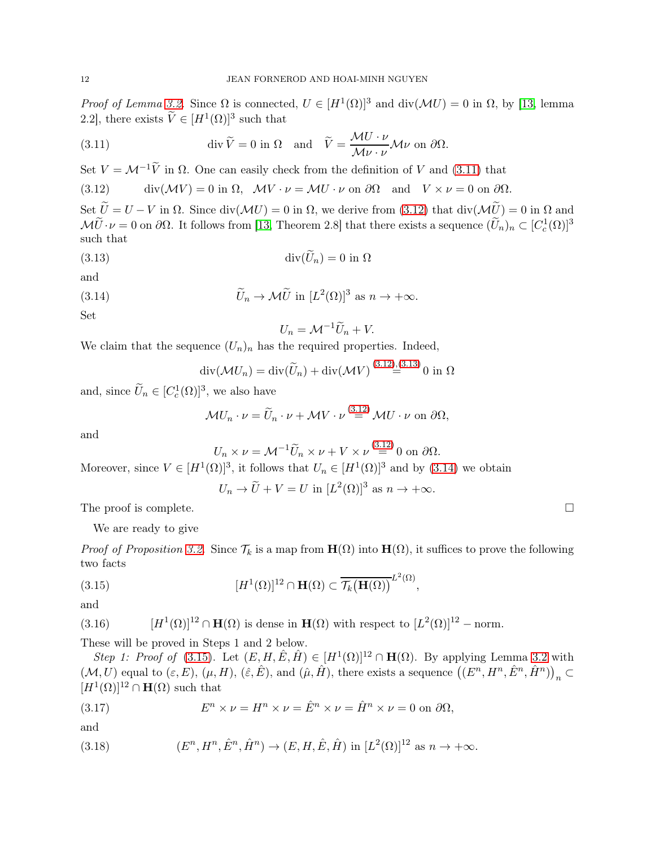*Proof of Lemma [3.2.](#page-10-1)* Since  $\Omega$  is connected,  $U \in [H^1(\Omega)]^3$  and  $\text{div}(\mathcal{M}U) = 0$  in  $\Omega$ , by [\[13,](#page-16-24) lemma 2.2], there exists  $\widetilde{V} \in [H^1(\Omega)]^3$  such that

<span id="page-11-0"></span>(3.11) 
$$
\operatorname{div} \widetilde{V} = 0 \text{ in } \Omega \quad \text{and} \quad \widetilde{V} = \frac{\mathcal{M} U \cdot \nu}{\mathcal{M} \nu \cdot \nu} \mathcal{M} \nu \text{ on } \partial \Omega.
$$

Set  $V = \mathcal{M}^{-1}\widetilde{V}$  in  $\Omega$ . One can easily check from the definition of V and [\(3.11\)](#page-11-0) that

<span id="page-11-1"></span>(3.12) div $(\mathcal{M}V) = 0$  in  $\Omega$ ,  $\mathcal{M}V \cdot \nu = \mathcal{M}U \cdot \nu$  on  $\partial\Omega$  and  $V \times \nu = 0$  on  $\partial\Omega$ .

Set  $\widetilde{U} = U - V$  in  $\Omega$ . Since div( $\mathcal{M}U$ ) = 0 in  $\Omega$ , we derive from [\(3.12\)](#page-11-1) that div( $\mathcal{M}\widetilde{U}$ ) = 0 in  $\Omega$  and  $\mathcal{M}\tilde{U}\cdot\nu=0$  on  $\partial\Omega$ . It follows from [\[13,](#page-16-24) Theorem 2.8] that there exists a sequence  $(\tilde{U}_n)_n\subset [C_c^1(\Omega)]^3$ such that

(3.13) div(Uen) = 0 in Ω

and

(3.14) 
$$
\widetilde{U}_n \to \mathcal{M}\widetilde{U} \text{ in } [L^2(\Omega)]^3 \text{ as } n \to +\infty.
$$

Set

<span id="page-11-3"></span><span id="page-11-2"></span>
$$
U_n = \mathcal{M}^{-1}\widetilde{U}_n + V.
$$

We claim that the sequence  $(U_n)_n$  has the required properties. Indeed,

$$
\operatorname{div}(\mathcal{M}U_n) = \operatorname{div}(\widetilde{U}_n) + \operatorname{div}(\mathcal{M}V)^{(3.12),(3.13)} 0
$$
in  $\Omega$ 

and, since  $\widetilde{U}_n \in [C_c^1(\Omega)]^3$ , we also have

$$
\mathcal{M}U_n \cdot \nu = \widetilde{U}_n \cdot \nu + \mathcal{M}V \cdot \nu \stackrel{(3.12)}{=} \mathcal{M}U \cdot \nu \text{ on } \partial \Omega,
$$

and

$$
U_n \times \nu = \mathcal{M}^{-1} \widetilde{U}_n \times \nu + V \times \nu \stackrel{(3.12)}{=} 0 \text{ on } \partial \Omega.
$$

Moreover, since  $V \in [H^1(\Omega)]^3$ , it follows that  $U_n \in [H^1(\Omega)]^3$  and by [\(3.14\)](#page-11-3) we obtain

<span id="page-11-4"></span>
$$
U_n \to \widetilde{U} + V = U
$$
 in  $[L^2(\Omega)]^3$  as  $n \to +\infty$ .

The proof is complete.  $\Box$ 

We are ready to give

*Proof of Proposition* [3.2.](#page-8-0) Since  $\mathcal{T}_k$  is a map from  $\mathbf{H}(\Omega)$  into  $\mathbf{H}(\Omega)$ , it suffices to prove the following two facts

(3.15) 
$$
[H^{1}(\Omega)]^{12} \cap \mathbf{H}(\Omega) \subset \overline{\mathcal{T}_{k}(\mathbf{H}(\Omega))}^{L^{2}(\Omega)},
$$

and

<span id="page-11-7"></span>(3.16) 
$$
[H^1(\Omega)]^{12} \cap \mathbf{H}(\Omega) \text{ is dense in } \mathbf{H}(\Omega) \text{ with respect to } [L^2(\Omega)]^{12} - \text{norm}.
$$

These will be proved in Steps 1 and 2 below.

*Step 1: Proof of* [\(3.15\)](#page-11-4). Let  $(E, H, \hat{E}, \hat{H}) \in [H^1(\Omega)]^{12} \cap \mathbf{H}(\Omega)$ . By applying Lemma [3.2](#page-10-1) with  $(\mathcal{M}, U)$  equal to  $(\varepsilon, E)$ ,  $(\mu, H)$ ,  $(\hat{\varepsilon}, \hat{E})$ , and  $(\hat{\mu}, \hat{H})$ , there exists a sequence  $((E^n, H^n, \hat{E}^n, \hat{H}^n))_n \subset$  $[H^1(\Omega)]^{12} \cap \mathbf{H}(\Omega)$  such that

<span id="page-11-5"></span>(3.17) 
$$
E^n \times \nu = H^n \times \nu = \hat{E}^n \times \nu = \hat{H}^n \times \nu = 0 \text{ on } \partial \Omega,
$$

and

<span id="page-11-6"></span>(3.18) 
$$
(E^n, H^n, \hat{E}^n, \hat{H}^n) \to (E, H, \hat{E}, \hat{H}) \text{ in } [L^2(\Omega)]^{12} \text{ as } n \to +\infty.
$$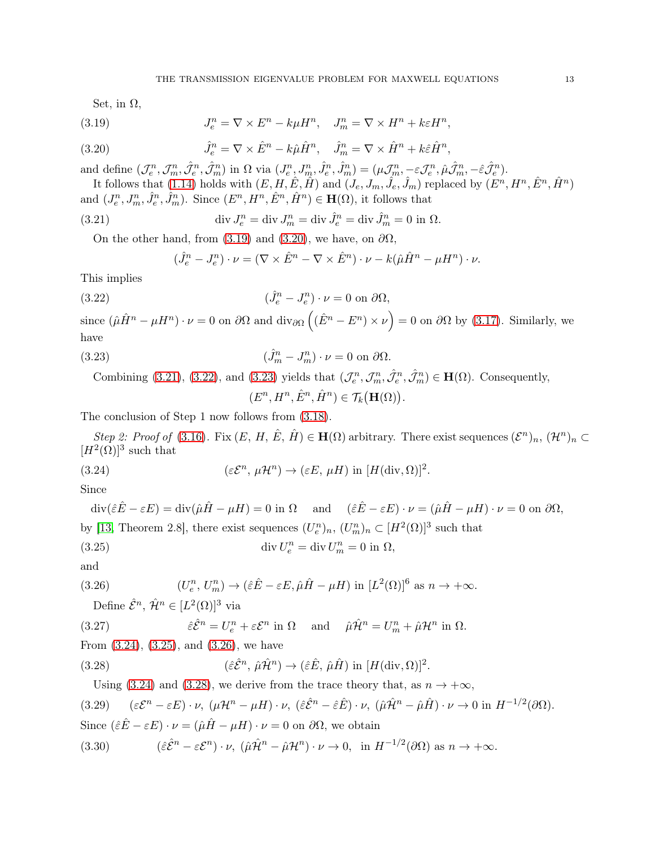<span id="page-12-0"></span>Set, in  $\Omega$ ,

(3.19) 
$$
J_e^n = \nabla \times E^n - k\mu H^n, \quad J_m^n = \nabla \times H^n + k\varepsilon H^n,
$$

(3.20) 
$$
\hat{J}_e^n = \nabla \times \hat{E}^n - k\hat{\mu}\hat{H}^n, \quad \hat{J}_m^n = \nabla \times \hat{H}^n + k\hat{\varepsilon}\hat{H}^n
$$

and define  $(\mathcal{J}_e^n, \mathcal{J}_m^n, \hat{\mathcal{J}}_e^n, \hat{\mathcal{J}}_m^n)$  in  $\Omega$  via  $(J_e^n, J_m^n, \hat{J}_e^n, \hat{J}_m^n) = (\mu \mathcal{J}_m^n, -\varepsilon \mathcal{J}_e^n, \hat{\mu} \hat{\mathcal{J}}_m^n, -\hat{\varepsilon} \hat{\mathcal{J}}_e^n)$ .

It follows that [\(1.14\)](#page-3-3) holds with  $(E, H, \hat{E}, \hat{H})$  and  $(J_e, J_m, \hat{J}_e, \hat{J}_m)$  replaced by  $(E^n, H^n, \hat{E}^n, \hat{H}^n)$ and  $(J_e^n, J_m^n, \hat{J}_e^n, \hat{J}_m^n)$ . Since  $(E^n, H^n, \hat{E}^n, \hat{H}^n) \in \mathbf{H}(\Omega)$ , it follows that

,

(3.21) 
$$
\operatorname{div} J_e^n = \operatorname{div} J_m^n = \operatorname{div} \hat{J}_e^n = \operatorname{div} \hat{J}_m^n = 0 \text{ in } \Omega.
$$

On the other hand, from [\(3.19\)](#page-12-0) and [\(3.20\)](#page-12-1), we have, on  $\partial\Omega$ ,

<span id="page-12-3"></span><span id="page-12-2"></span><span id="page-12-1"></span>
$$
(\hat{J}_e^n - J_e^n) \cdot \nu = (\nabla \times \hat{E}^n - \nabla \times \hat{E}^n) \cdot \nu - k(\hat{\mu}\hat{H}^n - \mu H^n) \cdot \nu.
$$

This implies

(3.22) 
$$
(\hat{J}_e^n - J_e^n) \cdot \nu = 0 \text{ on } \partial \Omega,
$$

since  $(\hat{\mu}\hat{H}^n - \mu H^n) \cdot \nu = 0$  on  $\partial\Omega$  and  $\text{div}_{\partial\Omega}((\hat{E}^n - E^n) \times \nu) = 0$  on  $\partial\Omega$  by [\(3.17\)](#page-11-5). Similarly, we have

(3.23) 
$$
(\hat{J}_m^n - J_m^n) \cdot \nu = 0 \text{ on } \partial \Omega.
$$

Combining [\(3.21\)](#page-12-2), [\(3.22\)](#page-12-3), and [\(3.23\)](#page-12-4) yields that  $(\mathcal{J}_e^n, \mathcal{J}_m^n, \hat{\mathcal{J}}_e^n, \hat{\mathcal{J}}_m^n) \in \mathbf{H}(\Omega)$ . Consequently,

<span id="page-12-6"></span><span id="page-12-5"></span><span id="page-12-4"></span> $(E^n, H^n, \hat{E}^n, \hat{H}^n) \in \mathcal{T}_k(\mathbf{H}(\Omega)).$ 

The conclusion of Step 1 now follows from [\(3.18\)](#page-11-6).

*Step 2: Proof of* [\(3.16\)](#page-11-7). Fix  $(E, H, \hat{E}, \hat{H}) \in \mathbf{H}(\Omega)$  arbitrary. There exist sequences  $(\mathcal{E}^n)_n$ ,  $(\mathcal{H}^n)_n \subset$  $[H^2(\Omega)]^3$  such that

(3.24) 
$$
(\varepsilon \mathcal{E}^n, \mu \mathcal{H}^n) \to (\varepsilon E, \mu H) \text{ in } [H(\text{div}, \Omega)]^2.
$$

Since

$$
\operatorname{div}(\hat{\varepsilon}\hat{E} - \varepsilon E) = \operatorname{div}(\hat{\mu}\hat{H} - \mu H) = 0 \text{ in } \Omega \quad \text{and} \quad (\hat{\varepsilon}\hat{E} - \varepsilon E) \cdot \nu = (\hat{\mu}\hat{H} - \mu H) \cdot \nu = 0 \text{ on } \partial\Omega,
$$
  
by [13, Theorem 2.8], there exist sequences  $(U_e^n)_n$ ,  $(U_m^n)_n \subset [H^2(\Omega)]^3$  such that  

$$
\operatorname{div} U_e^n = \operatorname{div} U_m^n = 0 \text{ in } \Omega,
$$

and

(3.26) 
$$
(U_e^n, U_m^n) \to (\hat{\varepsilon} \hat{E} - \varepsilon E, \hat{\mu} \hat{H} - \mu H) \text{ in } [L^2(\Omega)]^6 \text{ as } n \to +\infty.
$$

<span id="page-12-7"></span>Define  $\hat{\mathcal{E}}^n$ ,  $\hat{\mathcal{H}}^n \in [L^2(\Omega)]^3$  via

(3.27) 
$$
\hat{\varepsilon} \hat{\mathcal{E}}^n = U_e^n + \varepsilon \mathcal{E}^n \text{ in } \Omega \quad \text{ and } \quad \hat{\mu} \hat{\mathcal{H}}^n = U_m^n + \hat{\mu} \mathcal{H}^n \text{ in } \Omega.
$$

From [\(3.24\)](#page-12-5), [\(3.25\)](#page-12-6), and [\(3.26\)](#page-12-7), we have

<span id="page-12-8"></span>(3.28) 
$$
(\hat{\varepsilon}\hat{\mathcal{E}}^n, \, \hat{\mu}\hat{\mathcal{H}}^n) \to (\hat{\varepsilon}\hat{E}, \, \hat{\mu}\hat{H}) \text{ in } [H(\text{div}, \Omega)]^2.
$$

<span id="page-12-10"></span><span id="page-12-9"></span>Using [\(3.24\)](#page-12-5) and [\(3.28\)](#page-12-8), we derive from the trace theory that, as  $n \to +\infty$ ,  $(3.29)$  $(n - \varepsilon E) \cdot \nu$ ,  $(\mu \mathcal{H}^n - \mu H) \cdot \nu$ ,  $(\hat{\varepsilon} \hat{\mathcal{E}}^n - \hat{\varepsilon} \hat{E}) \cdot \nu$ ,  $(\hat{\mu} \hat{\mathcal{H}}^n - \hat{\mu} \hat{H}) \cdot \nu \to 0$  in  $H^{-1/2}(\partial \Omega)$ . Since  $(\hat{\varepsilon} \hat{E} - \varepsilon E) \cdot \nu = (\hat{\mu} \hat{H} - \mu H) \cdot \nu = 0$  on  $\partial \Omega$ , we obtain (3.30)  $(\hat{\varepsilon}\hat{\mathcal{E}}^n - \varepsilon \mathcal{E}^n) \cdot \nu$ ,  $(\hat{\mu}\hat{\mathcal{H}}^n - \hat{\mu}\mathcal{H}^n) \cdot \nu \to 0$ , in  $H^{-1/2}(\partial\Omega)$  as  $n \to +\infty$ .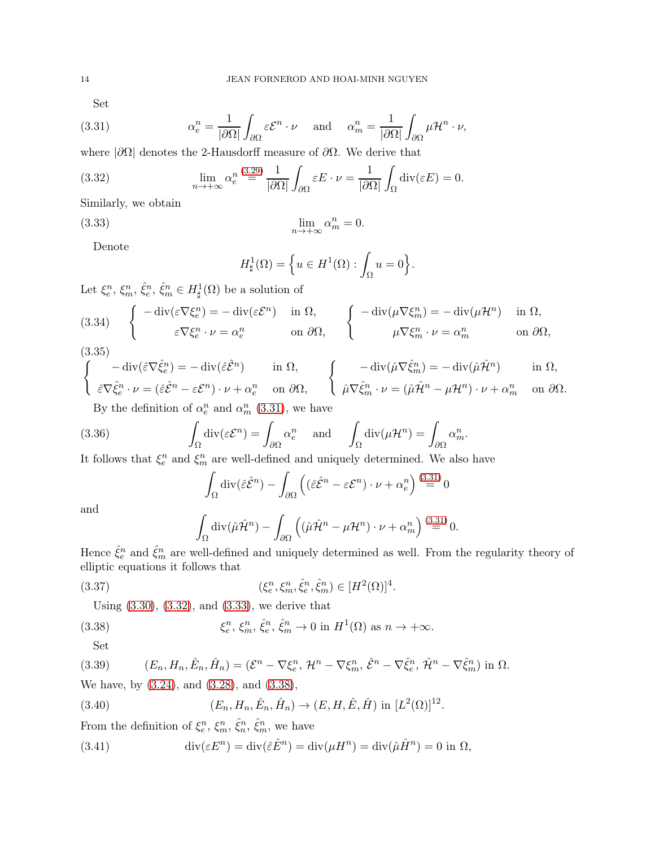<span id="page-13-0"></span>Set

(3.31) 
$$
\alpha_e^n = \frac{1}{|\partial \Omega|} \int_{\partial \Omega} \varepsilon \mathcal{E}^n \cdot \nu \quad \text{and} \quad \alpha_m^n = \frac{1}{|\partial \Omega|} \int_{\partial \Omega} \mu \mathcal{H}^n \cdot \nu,
$$

where  $|\partial\Omega|$  denotes the 2-Hausdorff measure of  $\partial\Omega$ . We derive that

(3.32) 
$$
\lim_{n \to +\infty} \alpha_e^{n} \stackrel{(3.29)}{=} \frac{1}{|\partial \Omega|} \int_{\partial \Omega} \varepsilon E \cdot \nu = \frac{1}{|\partial \Omega|} \int_{\Omega} \text{div}(\varepsilon E) = 0.
$$

Similarly, we obtain

$$
(3.33)
$$

(3.33) 
$$
\lim_{n \to +\infty} \alpha_m^n = 0.
$$

Denote

<span id="page-13-2"></span><span id="page-13-1"></span>
$$
H^1_{\sharp}(\Omega) = \left\{ u \in H^1(\Omega) : \int_{\Omega} u = 0 \right\}.
$$

Let  $\xi_e^n$ ,  $\xi_m^n$ ,  $\hat{\xi}_e^n$ ,  $\hat{\xi}_m^n$   $\in H^1_{\sharp}(\Omega)$  be a solution of

(3.34) 
$$
\begin{cases}\n-\operatorname{div}(\varepsilon \nabla \xi_e^n) = -\operatorname{div}(\varepsilon \mathcal{E}^n) & \text{in } \Omega, \\
\varepsilon \nabla \xi_e^n \cdot \nu = \alpha_e^n & \text{on } \partial \Omega,\n\end{cases}\n\begin{cases}\n-\operatorname{div}(\mu \nabla \xi_m^n) = -\operatorname{div}(\mu \mathcal{H}^n) & \text{in } \Omega, \\
\mu \nabla \xi_m^n \cdot \nu = \alpha_m^n & \text{on } \partial \Omega,\n\end{cases}
$$

$$
(3.35)
$$

$$
\begin{cases}\n-\operatorname{div}(\hat{\varepsilon}\nabla \hat{\xi}^n_e) = -\operatorname{div}(\hat{\varepsilon}\hat{\mathcal{E}}^n) & \text{in } \Omega, \\
\hat{\varepsilon}\nabla \hat{\xi}^n_e \cdot \nu = (\hat{\varepsilon}\hat{\mathcal{E}}^n - \varepsilon \mathcal{E}^n) \cdot \nu + \alpha_e^n & \text{on } \partial\Omega, \\
\text{By the definition of } \alpha^n \text{ and } \alpha^n \quad (3.31) \text{ we have}\n\end{cases}\n\qquad\n\begin{cases}\n-\operatorname{div}(\hat{\mu}\nabla \hat{\xi}^n_m) = -\operatorname{div}(\hat{\mu}\hat{\mathcal{H}}^n) & \text{in } \Omega, \\
\hat{\mu}\nabla \hat{\xi}^n_m \cdot \nu = (\hat{\mu}\hat{\mathcal{H}}^n - \mu\mathcal{H}^n) \cdot \nu + \alpha_m^n & \text{on } \partial\Omega.\n\end{cases}
$$

By the definition of  $\alpha_e^n$  and  $\alpha_m^n$  [\(3.31\)](#page-13-0), we have

(3.36) 
$$
\int_{\Omega} \text{div}(\varepsilon \mathcal{E}^n) = \int_{\partial \Omega} \alpha_e^n \text{ and } \int_{\Omega} \text{div}(\mu \mathcal{H}^n) = \int_{\partial \Omega} \alpha_m^n.
$$

It follows that  $\xi_e^n$  and  $\xi_m^n$  are well-defined and uniquely determined. We also have

$$
\int_{\Omega} \operatorname{div}(\hat{\varepsilon} \hat{\mathcal{E}}^n) - \int_{\partial \Omega} \left( (\hat{\varepsilon} \hat{\mathcal{E}}^n - \varepsilon \mathcal{E}^n) \cdot \nu + \alpha_e^n \right) \stackrel{(3.31)}{=} 0
$$

and

<span id="page-13-4"></span><span id="page-13-3"></span>
$$
\int_{\Omega} \operatorname{div}(\hat{\mu}\hat{\mathcal{H}}^n) - \int_{\partial\Omega} \left( (\hat{\mu}\hat{\mathcal{H}}^n - \mu\mathcal{H}^n) \cdot \nu + \alpha_m^n \right) \stackrel{(3.31)}{=} 0.
$$

Hence  $\hat{\xi}_e^n$  and  $\hat{\xi}_m^n$  are well-defined and uniquely determined as well. From the regularity theory of elliptic equations it follows that

(3.37) 
$$
(\xi_e^n, \xi_m^n, \hat{\xi}_e^n, \hat{\xi}_m^n) \in [H^2(\Omega)]^4.
$$

Using [\(3.30\)](#page-12-10), [\(3.32\)](#page-13-1), and [\(3.33\)](#page-13-2), we derive that

(3.38) 
$$
\xi_e^n, \xi_m^n, \hat{\xi}_e^n, \hat{\xi}_m^n \to 0 \text{ in } H^1(\Omega) \text{ as } n \to +\infty.
$$

Set

(3.39) 
$$
(E_n, H_n, \hat{E}_n, \hat{H}_n) = (\mathcal{E}^n - \nabla \xi_e^n, \mathcal{H}^n - \nabla \xi_m^n, \hat{\mathcal{E}}^n - \nabla \hat{\xi}_e^n, \hat{\mathcal{H}}^n - \nabla \hat{\xi}_m^n)
$$
 in  $\Omega$ . We have, by (3.24), and (3.28), and (3.38),

<span id="page-13-6"></span>(3.40) 
$$
(E_n, H_n, \hat{E}_n, \hat{H}_n) \to (E, H, \hat{E}, \hat{H}) \text{ in } [L^2(\Omega)]^{12}.
$$

From the definition of  $\xi_e^n$ ,  $\xi_m^n$ ,  $\hat{\xi}_n^n$ ,  $\hat{\xi}_m^n$ , we have

<span id="page-13-5"></span>(3.41) 
$$
\operatorname{div}(\varepsilon E^n) = \operatorname{div}(\hat{\varepsilon} \hat{E}^n) = \operatorname{div}(\mu H^n) = \operatorname{div}(\hat{\mu} \hat{H}^n) = 0 \text{ in } \Omega,
$$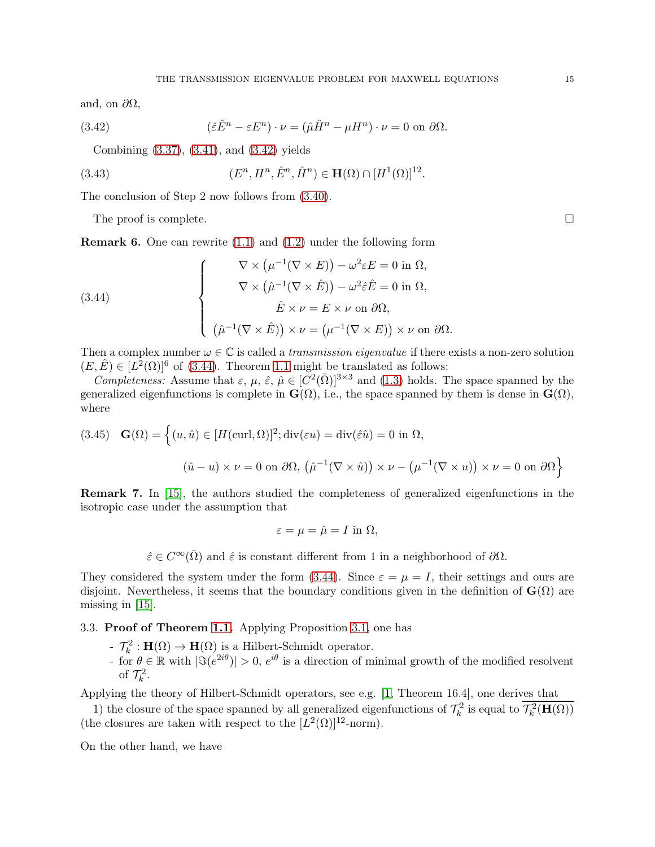and, on  $\partial\Omega$ ,

(3.42) 
$$
(\hat{\varepsilon}\hat{E}^n - \varepsilon E^n) \cdot \nu = (\hat{\mu}\hat{H}^n - \mu H^n) \cdot \nu = 0 \text{ on } \partial\Omega.
$$

<span id="page-14-1"></span>Combining [\(3.37\)](#page-13-4), [\(3.41\)](#page-13-5), and [\(3.42\)](#page-14-1) yields

(3.43) 
$$
(E^n, H^n, \hat{E}^n, \hat{H}^n) \in \mathbf{H}(\Omega) \cap [H^1(\Omega)]^{12}.
$$

The conclusion of Step 2 now follows from [\(3.40\)](#page-13-6).

The proof is complete.  $\Box$ 

<span id="page-14-0"></span>Remark 6. One can rewrite [\(1.1\)](#page-0-1) and [\(1.2\)](#page-0-2) under the following form

<span id="page-14-2"></span>(3.44)  

$$
\nabla \times (\mu^{-1}(\nabla \times E)) - \omega^2 \varepsilon E = 0 \text{ in } \Omega,
$$

$$
\nabla \times (\hat{\mu}^{-1}(\nabla \times \hat{E})) - \omega^2 \hat{\varepsilon} \hat{E} = 0 \text{ in } \Omega,
$$

$$
\hat{E} \times \nu = E \times \nu \text{ on } \partial \Omega,
$$

$$
(\hat{\mu}^{-1}(\nabla \times \hat{E})) \times \nu = (\mu^{-1}(\nabla \times E)) \times \nu \text{ on } \partial \Omega.
$$

Then a complex number  $\omega \in \mathbb{C}$  is called a *transmission eigenvalue* if there exists a non-zero solution  $(E, \hat{E}) \in [L^2(\Omega)]^6$  of [\(3.44\)](#page-14-2). Theorem [1.1](#page-1-0) might be translated as follows:

*Completeness:* Assume that  $\varepsilon$ ,  $\mu$ ,  $\hat{\varepsilon}$ ,  $\hat{\mu} \in [C^2(\bar{\Omega})]^{3 \times 3}$  and [\(1.3\)](#page-0-0) holds. The space spanned by the generalized eigenfunctions is complete in  $\mathbf{G}(\Omega)$ , i.e., the space spanned by them is dense in  $\mathbf{G}(\Omega)$ , where

(3.45) 
$$
\mathbf{G}(\Omega) = \left\{ (u, \hat{u}) \in [H(\text{curl}, \Omega)]^2; \text{div}(\varepsilon u) = \text{div}(\hat{\varepsilon}\hat{u}) = 0 \text{ in } \Omega, \right\}
$$

$$
(\hat{u} - u) \times \nu = 0 \text{ on } \partial\Omega, \left( \hat{\mu}^{-1}(\nabla \times \hat{u}) \right) \times \nu - \left( \mu^{-1}(\nabla \times u) \right) \times \nu = 0 \text{ on } \partial\Omega \right\}
$$

Remark 7. In [\[15\]](#page-16-9), the authors studied the completeness of generalized eigenfunctions in the isotropic case under the assumption that

$$
\varepsilon = \mu = \hat{\mu} = I \text{ in } \Omega,
$$

 $\hat{\varepsilon} \in C^{\infty}(\bar{\Omega})$  and  $\hat{\varepsilon}$  is constant different from 1 in a neighborhood of  $\partial\Omega$ .

They considered the system under the form [\(3.44\)](#page-14-2). Since  $\varepsilon = \mu = I$ , their settings and ours are disjoint. Nevertheless, it seems that the boundary conditions given in the definition of  $\mathbf{G}(\Omega)$  are missing in [\[15\]](#page-16-9).

3.3. Proof of Theorem [1.1.](#page-1-0) Applying Proposition [3.1,](#page-8-1) one has

- $-\mathcal{T}_k^2 : \mathbf{H}(\Omega) \to \mathbf{H}(\Omega)$  is a Hilbert-Schmidt operator.
- for  $\theta \in \mathbb{R}$  with  $|\Im(e^{2i\theta})| > 0$ ,  $e^{i\theta}$  is a direction of minimal growth of the modified resolvent of  $\mathcal{T}_k^2$ .

Applying the theory of Hilbert-Schmidt operators, see e.g. [\[1,](#page-15-1) Theorem 16.4], one derives that

1) the closure of the space spanned by all generalized eigenfunctions of  $\mathcal{T}_k^2$  is equal to  $\overline{\mathcal{T}_k^2(\mathbf{H}(\Omega))}$ (the closures are taken with respect to the  $[L^2(\Omega)]^{12}$ -norm).

On the other hand, we have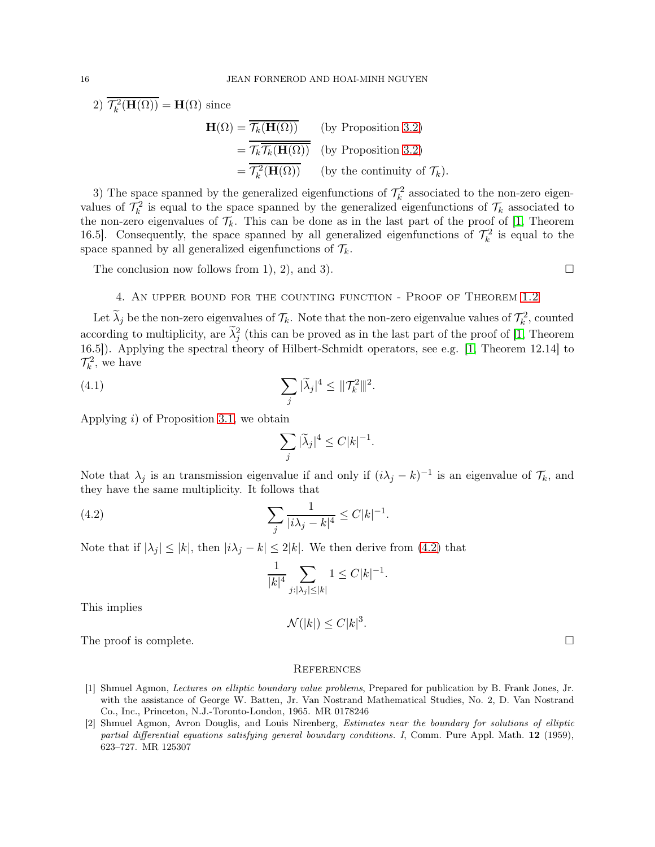2)  $\overline{\mathcal{T}_k^2(\mathbf{H}(\Omega))} = \mathbf{H}(\Omega)$  since

$$
\mathbf{H}(\Omega) = \overline{\mathcal{T}_k(\mathbf{H}(\Omega))}
$$
 (by Proposition 3.2)  
=  $\overline{\mathcal{T}_k \overline{\mathcal{T}_k(\mathbf{H}(\Omega))}}$  (by Proposition 3.2)  
=  $\overline{\mathcal{T}_k^2(\mathbf{H}(\Omega))}$  (by the continuity of  $\mathcal{T}_k$ ).

3) The space spanned by the generalized eigenfunctions of  $\mathcal{T}_k^2$  associated to the non-zero eigenvalues of  $\mathcal{T}_k^2$  is equal to the space spanned by the generalized eigenfunctions of  $\mathcal{T}_k$  associated to the non-zero eigenvalues of  $\mathcal{T}_k$ . This can be done as in the last part of the proof of [\[1,](#page-15-1) Theorem 16.5. Consequently, the space spanned by all generalized eigenfunctions of  $\mathcal{T}_k^2$  is equal to the space spanned by all generalized eigenfunctions of  $\mathcal{T}_k$ .

The conclusion now follows from 1, 2, and 3).  $\square$ 

# 4. An upper bound for the counting function - Proof of Theorem [1.2](#page-1-1)

Let  $\lambda_j$  be the non-zero eigenvalues of  $\mathcal{T}_k$ . Note that the non-zero eigenvalue values of  $\mathcal{T}_k^2$ , counted according to multiplicity, are  $\tilde{\lambda}_j^2$  (this can be proved as in the last part of the proof of [\[1,](#page-15-1) Theorem 16.5]). Applying the spectral theory of Hilbert-Schmidt operators, see e.g. [\[1,](#page-15-1) Theorem 12.14] to  $\mathcal{T}_k^2$ , we have

(4.1) 
$$
\sum_{j} |\widetilde{\lambda}_{j}|^{4} \leq ||\mathcal{T}_{k}^{2}||^{2}.
$$

Applying  $i$ ) of Proposition [3.1,](#page-8-1) we obtain

$$
\sum_j |\widetilde{\lambda}_j|^4 \leq C |k|^{-1}.
$$

Note that  $\lambda_j$  is an transmission eigenvalue if and only if  $(i\lambda_j - k)^{-1}$  is an eigenvalue of  $\mathcal{T}_k$ , and they have the same multiplicity. It follows that

(4.2) 
$$
\sum_{j} \frac{1}{|i\lambda_j - k|^4} \le C|k|^{-1}.
$$

Note that if  $|\lambda_j| \leq |k|$ , then  $|i\lambda_j - k| \leq 2|k|$ . We then derive from [\(4.2\)](#page-15-2) that

<span id="page-15-2"></span>
$$
\frac{1}{|k|^4} \sum_{j: |\lambda_j| \le |k|} 1 \le C|k|^{-1}.
$$

This implies

$$
\mathcal{N}(|k|) \le C|k|^3.
$$

The proof is complete.  $\Box$ 

### **REFERENCES**

- <span id="page-15-1"></span>[1] Shmuel Agmon, Lectures on elliptic boundary value problems, Prepared for publication by B. Frank Jones, Jr. with the assistance of George W. Batten, Jr. Van Nostrand Mathematical Studies, No. 2, D. Van Nostrand Co., Inc., Princeton, N.J.-Toronto-London, 1965. MR 0178246
- <span id="page-15-0"></span>[2] Shmuel Agmon, Avron Douglis, and Louis Nirenberg, Estimates near the boundary for solutions of elliptic partial differential equations satisfying general boundary conditions. I, Comm. Pure Appl. Math. 12 (1959), 623–727. MR 125307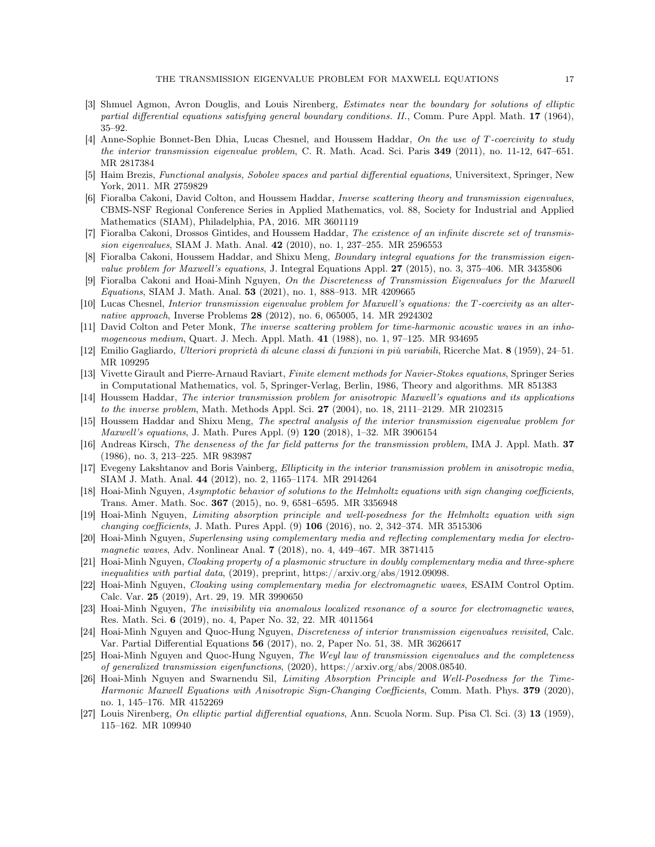- <span id="page-16-4"></span>[3] Shmuel Agmon, Avron Douglis, and Louis Nirenberg, Estimates near the boundary for solutions of elliptic partial differential equations satisfying general boundary conditions. II., Comm. Pure Appl. Math. 17 (1964), 35–92.
- <span id="page-16-12"></span>[4] Anne-Sophie Bonnet-Ben Dhia, Lucas Chesnel, and Houssem Haddar, On the use of T-coercivity to study the interior transmission eigenvalue problem, C. R. Math. Acad. Sci. Paris 349 (2011), no. 11-12, 647–651. MR 2817384
- <span id="page-16-21"></span>[5] Haim Brezis, Functional analysis, Sobolev spaces and partial differential equations, Universitext, Springer, New York, 2011. MR 2759829
- <span id="page-16-2"></span>[6] Fioralba Cakoni, David Colton, and Houssem Haddar, Inverse scattering theory and transmission eigenvalues, CBMS-NSF Regional Conference Series in Applied Mathematics, vol. 88, Society for Industrial and Applied Mathematics (SIAM), Philadelphia, PA, 2016. MR 3601119
- <span id="page-16-8"></span>[7] Fioralba Cakoni, Drossos Gintides, and Houssem Haddar, The existence of an infinite discrete set of transmission eigenvalues, SIAM J. Math. Anal. 42 (2010), no. 1, 237–255. MR 2596553
- <span id="page-16-6"></span>[8] Fioralba Cakoni, Houssem Haddar, and Shixu Meng, Boundary integral equations for the transmission eigenvalue problem for Maxwell's equations, J. Integral Equations Appl. 27 (2015), no. 3, 375–406. MR 3435806
- <span id="page-16-3"></span>[9] Fioralba Cakoni and Hoai-Minh Nguyen, On the Discreteness of Transmission Eigenvalues for the Maxwell Equations, SIAM J. Math. Anal. 53 (2021), no. 1, 888-913. MR 4209665
- <span id="page-16-7"></span>[10] Lucas Chesnel, Interior transmission eigenvalue problem for Maxwell's equations: the T -coercivity as an alternative approach, Inverse Problems 28 (2012), no. 6, 065005, 14. MR 2924302
- <span id="page-16-1"></span>[11] David Colton and Peter Monk, The inverse scattering problem for time-harmonic acoustic waves in an inhomogeneous medium, Quart. J. Mech. Appl. Math. 41 (1988), no. 1, 97–125. MR 934695
- <span id="page-16-24"></span><span id="page-16-22"></span>[12] Emilio Gagliardo, Ulteriori proprietà di alcune classi di funzioni in più variabili, Ricerche Mat. 8 (1959), 24–51. MR 109295
- [13] Vivette Girault and Pierre-Arnaud Raviart, Finite element methods for Navier-Stokes equations, Springer Series in Computational Mathematics, vol. 5, Springer-Verlag, Berlin, 1986, Theory and algorithms. MR 851383
- <span id="page-16-5"></span>[14] Houssem Haddar, The interior transmission problem for anisotropic Maxwell's equations and its applications to the inverse problem, Math. Methods Appl. Sci. 27 (2004), no. 18, 2111–2129. MR 2102315
- <span id="page-16-9"></span>[15] Houssem Haddar and Shixu Meng, The spectral analysis of the interior transmission eigenvalue problem for Maxwell's equations, J. Math. Pures Appl. (9) 120 (2018), 1–32. MR 3906154
- <span id="page-16-0"></span>[16] Andreas Kirsch, The denseness of the far field patterns for the transmission problem, IMA J. Appl. Math. 37 (1986), no. 3, 213–225. MR 983987
- <span id="page-16-13"></span>[17] Evegeny Lakshtanov and Boris Vainberg, Ellipticity in the interior transmission problem in anisotropic media, SIAM J. Math. Anal. 44 (2012), no. 2, 1165–1174. MR 2914264
- <span id="page-16-14"></span>[18] Hoai-Minh Nguyen, Asymptotic behavior of solutions to the Helmholtz equations with sign changing coefficients, Trans. Amer. Math. Soc. 367 (2015), no. 9, 6581–6595. MR 3356948
- <span id="page-16-16"></span>[19] Hoai-Minh Nguyen, Limiting absorption principle and well-posedness for the Helmholtz equation with sign changing coefficients, J. Math. Pures Appl. (9) 106 (2016), no. 2, 342–374. MR 3515306
- <span id="page-16-15"></span>[20] Hoai-Minh Nguyen, Superlensing using complementary media and reflecting complementary media for electromagnetic waves, Adv. Nonlinear Anal. 7 (2018), no. 4, 449–467. MR 3871415
- <span id="page-16-20"></span>[21] Hoai-Minh Nguyen, Cloaking property of a plasmonic structure in doubly complementary media and three-sphere inequalities with partial data, (2019), preprint, https://arxiv.org/abs/1912.09098.
- <span id="page-16-18"></span>[22] Hoai-Minh Nguyen, Cloaking using complementary media for electromagnetic waves, ESAIM Control Optim. Calc. Var. 25 (2019), Art. 29, 19. MR 3990650
- <span id="page-16-19"></span>[23] Hoai-Minh Nguyen, The invisibility via anomalous localized resonance of a source for electromagnetic waves, Res. Math. Sci. 6 (2019), no. 4, Paper No. 32, 22. MR 4011564
- <span id="page-16-10"></span>[24] Hoai-Minh Nguyen and Quoc-Hung Nguyen, Discreteness of interior transmission eigenvalues revisited, Calc. Var. Partial Differential Equations 56 (2017), no. 2, Paper No. 51, 38. MR 3626617
- <span id="page-16-11"></span>[25] Hoai-Minh Nguyen and Quoc-Hung Nguyen, The Weyl law of transmission eigenvalues and the completeness of generalized transmission eigenfunctions, (2020), https://arxiv.org/abs/2008.08540.
- <span id="page-16-17"></span>[26] Hoai-Minh Nguyen and Swarnendu Sil, Limiting Absorption Principle and Well-Posedness for the Time-Harmonic Maxwell Equations with Anisotropic Sign-Changing Coefficients, Comm. Math. Phys. 379 (2020), no. 1, 145–176. MR 4152269
- <span id="page-16-23"></span>[27] Louis Nirenberg, On elliptic partial differential equations, Ann. Scuola Norm. Sup. Pisa Cl. Sci. (3) 13 (1959), 115–162. MR 109940